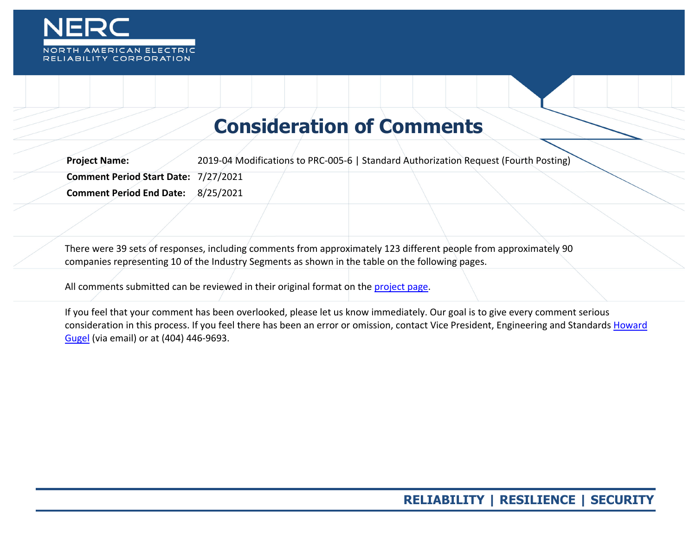

# **Consideration of Comments**

**Project Name:** 2019-04 Modifications to PRC-005-6 | Standard Authorization Request (Fourth Posting) **Comment Period Start Date:** 7/27/2021 **Comment Period End Date:** 8/25/2021

There were 39 sets of responses, including comments from approximately 123 different people from approximately 90 companies representing 10 of the Industry Segments as shown in the table on the following pages.

All comments submitted can be reviewed in their original format on the [project page.](https://www.nerc.com/pa/Stand/Pages/Project-2019-04-Modifications-to-PRC-005-6.aspx)

If you feel that your comment has been overlooked, please let us know immediately. Our goal is to give every comment serious consideration in this process. If you feel there has been an error or omission, contact Vice President, Engineering and Standards Howard [Gugel](mailto:howard.gugel@nerc.net) (via email) or at (404) 446-9693.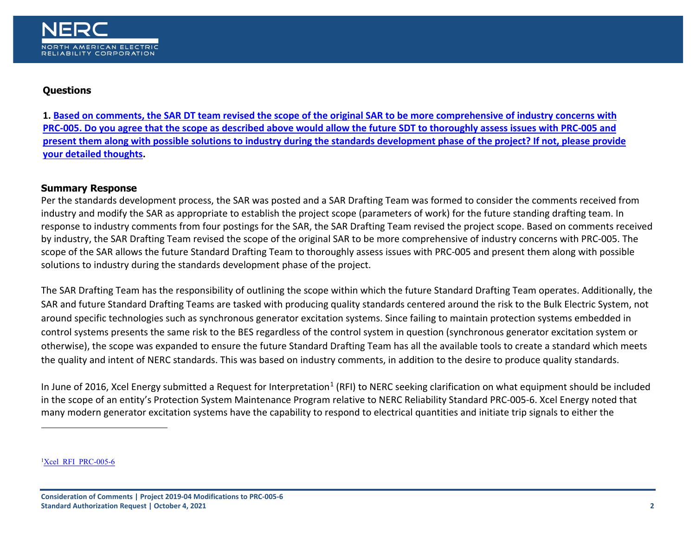<span id="page-1-0"></span>

## **Questions**

**1[. Based on comments, the SAR DT team revised the scope of the original SAR to be more comprehensive of industry concerns with](#page-15-0)  [PRC-005. Do you agree that the scope as described above would allow the future SDT to thoroughly assess issues with PRC-005 and](#page-15-0)  [present them along with possible solutions to industry during the standards development phase of the project? If not, please provide](#page-15-0)  [your detailed thoughts.](#page-15-0)**

## **Summary Response**

Per the standards development process, the SAR was posted and a SAR Drafting Team was formed to consider the comments received from industry and modify the SAR as appropriate to establish the project scope (parameters of work) for the future standing drafting team. In response to industry comments from four postings for the SAR, the SAR Drafting Team revised the project scope. Based on comments received by industry, the SAR Drafting Team revised the scope of the original SAR to be more comprehensive of industry concerns with PRC-005. The scope of the SAR allows the future Standard Drafting Team to thoroughly assess issues with PRC-005 and present them along with possible solutions to industry during the standards development phase of the project.

The SAR Drafting Team has the responsibility of outlining the scope within which the future Standard Drafting Team operates. Additionally, the SAR and future Standard Drafting Teams are tasked with producing quality standards centered around the risk to the Bulk Electric System, not around specific technologies such as synchronous generator excitation systems. Since failing to maintain protection systems embedded in control systems presents the same risk to the BES regardless of the control system in question (synchronous generator excitation system or otherwise), the scope was expanded to ensure the future Standard Drafting Team has all the available tools to create a standard which meets the quality and intent of NERC standards. This was based on industry comments, in addition to the desire to produce quality standards.

In June of 20[1](#page-1-0)6, Xcel Energy submitted a Request for Interpretation<sup>1</sup> (RFI) to NERC seeking clarification on what equipment should be included in the scope of an entity's Protection System Maintenance Program relative to NERC Reliability Standard PRC-005-6. Xcel Energy noted that many modern generator excitation systems have the capability to respond to electrical quantities and initiate trip signals to either the

<sup>1</sup>Xcel RFI PRC-005-6

-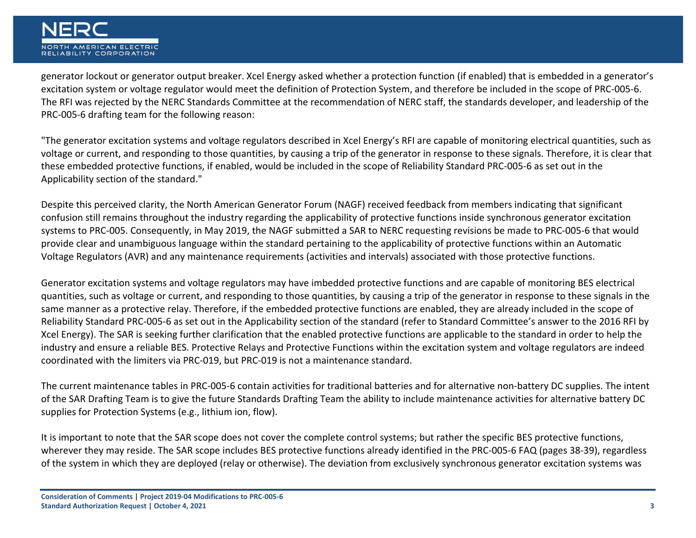

generator lockout or generator output breaker. Xcel Energy asked whether a protection function (if enabled) that is embedded in a generator's excitation system or voltage regulator would meet the definition of Protection System, and therefore be included in the scope of PRC-005-6. The RFI was rejected by the NERC Standards Committee at the recommendation of NERC staff, the standards developer, and leadership of the PRC-005-6 drafting team for the following reason:

"The generator excitation systems and voltage regulators described in Xcel Energy's RFI are capable of monitoring electrical quantities, such as voltage or current, and responding to those quantities, by causing a trip of the generator in response to these signals. Therefore, it is clear that these embedded protective functions, if enabled, would be included in the scope of Reliability Standard PRC-005-6 as set out in the Applicability section of the standard."

Despite this perceived clarity, the North American Generator Forum (NAGF) received feedback from members indicating that significant confusion still remains throughout the industry regarding the applicability of protective functions inside synchronous generator excitation systems to PRC-005. Consequently, in May 2019, the NAGF submitted a SAR to NERC requesting revisions be made to PRC-005-6 that would provide clear and unambiguous language within the standard pertaining to the applicability of protective functions within an Automatic Voltage Regulators (AVR) and any maintenance requirements (activities and intervals) associated with those protective functions.

Generator excitation systems and voltage regulators may have imbedded protective functions and are capable of monitoring BES electrical quantities, such as voltage or current, and responding to those quantities, by causing a trip of the generator in response to these signals in the same manner as a protective relay. Therefore, if the embedded protective functions are enabled, they are already included in the scope of Reliability Standard PRC-005-6 as set out in the Applicability section of the standard (refer to Standard Committee's answer to the 2016 RFI by Xcel Energy). The SAR is seeking further clarification that the enabled protective functions are applicable to the standard in order to help the industry and ensure a reliable BES. Protective Relays and Protective Functions within the excitation system and voltage regulators are indeed coordinated with the limiters via PRC-019, but PRC-019 is not a maintenance standard.

The current maintenance tables in PRC-005-6 contain activities for traditional batteries and for alternative non-battery DC supplies. The intent of the SAR Drafting Team is to give the future Standards Drafting Team the ability to include maintenance activities for alternative battery DC supplies for Protection Systems (e.g., lithium ion, flow).

It is important to note that the SAR scope does not cover the complete control systems; but rather the specific BES protective functions, wherever they may reside. The SAR scope includes BES protective functions already identified in the PRC-005-6 FAQ (pages 38-39), regardless of the system in which they are deployed (relay or otherwise). The deviation from exclusively synchronous generator excitation systems was

**Consideration of Comments | Project 2019-04 Modifications to PRC-005-6 Standard Authorization Request | October 4, 2021 3**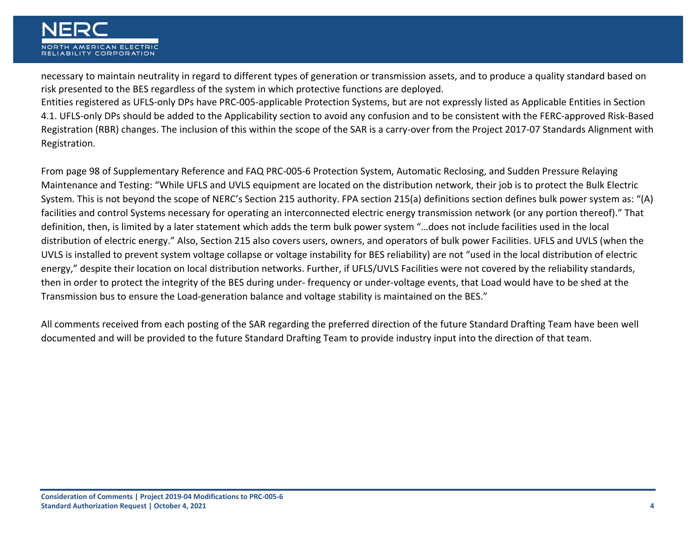necessary to maintain neutrality in regard to different types of generation or transmission assets, and to produce a quality standard based on risk presented to the BES regardless of the system in which protective functions are deployed.

Entities registered as UFLS-only DPs have PRC-005-applicable Protection Systems, but are not expressly listed as Applicable Entities in Section 4.1. UFLS-only DPs should be added to the Applicability section to avoid any confusion and to be consistent with the FERC-approved Risk-Based Registration (RBR) changes. The inclusion of this within the scope of the SAR is a carry-over from the Project 2017-07 Standards Alignment with Registration.

From page 98 of Supplementary Reference and FAQ PRC-005-6 Protection System, Automatic Reclosing, and Sudden Pressure Relaying Maintenance and Testing: "While UFLS and UVLS equipment are located on the distribution network, their job is to protect the Bulk Electric System. This is not beyond the scope of NERC's Section 215 authority. FPA section 215(a) definitions section defines bulk power system as: "(A) facilities and control Systems necessary for operating an interconnected electric energy transmission network (or any portion thereof)." That definition, then, is limited by a later statement which adds the term bulk power system "…does not include facilities used in the local distribution of electric energy." Also, Section 215 also covers users, owners, and operators of bulk power Facilities. UFLS and UVLS (when the UVLS is installed to prevent system voltage collapse or voltage instability for BES reliability) are not "used in the local distribution of electric energy," despite their location on local distribution networks. Further, if UFLS/UVLS Facilities were not covered by the reliability standards, then in order to protect the integrity of the BES during under- frequency or under-voltage events, that Load would have to be shed at the Transmission bus to ensure the Load-generation balance and voltage stability is maintained on the BES."

All comments received from each posting of the SAR regarding the preferred direction of the future Standard Drafting Team have been well documented and will be provided to the future Standard Drafting Team to provide industry input into the direction of that team.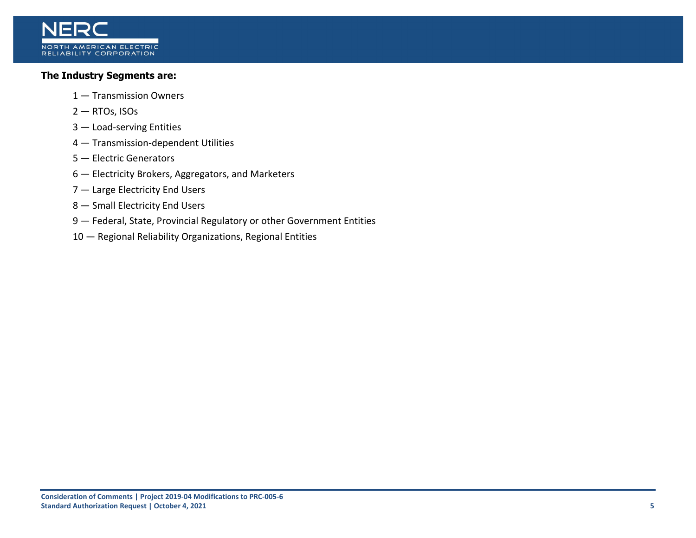

## **The Industry Segments are:**

- 1 Transmission Owners
- 2 RTOs, ISOs
- 3 Load-serving Entities
- 4 Transmission-dependent Utilities
- 5 Electric Generators
- 6 Electricity Brokers, Aggregators, and Marketers
- 7 Large Electricity End Users
- 8 Small Electricity End Users
- 9 Federal, State, Provincial Regulatory or other Government Entities
- 10 Regional Reliability Organizations, Regional Entities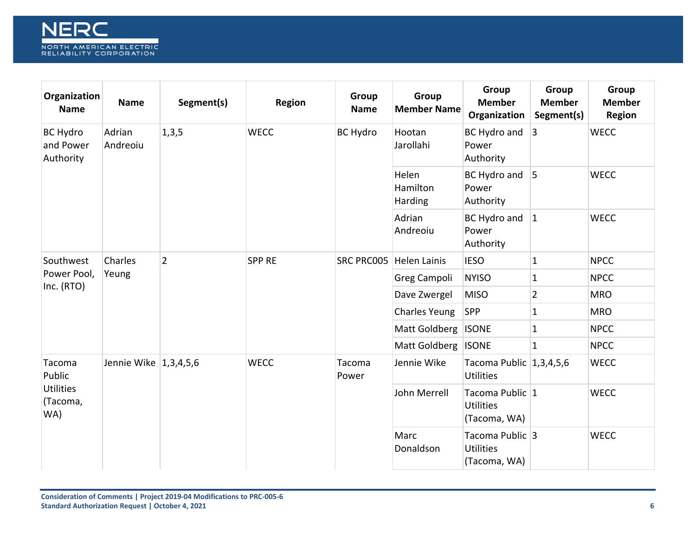

| Organization<br><b>Name</b>               | <b>Name</b>           | Segment(s)     | <b>Region</b> | Group<br><b>Name</b> | Group<br><b>Member Name</b>  | Group<br><b>Member</b><br>Organization              | Group<br><b>Member</b><br>Segment(s) | Group<br><b>Member</b><br><b>Region</b> |
|-------------------------------------------|-----------------------|----------------|---------------|----------------------|------------------------------|-----------------------------------------------------|--------------------------------------|-----------------------------------------|
| <b>BC Hydro</b><br>and Power<br>Authority | Adrian<br>Andreoiu    | 1,3,5          | <b>WECC</b>   | <b>BC Hydro</b>      | Hootan<br>Jarollahi          | BC Hydro and<br>Power<br>Authority                  | 3                                    | <b>WECC</b>                             |
|                                           |                       |                |               |                      | Helen<br>Hamilton<br>Harding | BC Hydro and<br>Power<br>Authority                  | $\overline{5}$                       | <b>WECC</b>                             |
|                                           |                       |                |               |                      | Adrian<br>Andreoiu           | BC Hydro and<br>Power<br>Authority                  | $ 1\rangle$                          | <b>WECC</b>                             |
| Southwest                                 | Charles               | $\overline{2}$ | <b>SPP RE</b> | <b>SRC PRC005</b>    | <b>Helen Lainis</b>          | <b>IESO</b>                                         | $\mathbf{1}$                         | <b>NPCC</b>                             |
| Power Pool,<br>Inc. (RTO)                 | Yeung                 |                |               |                      | Greg Campoli                 | <b>NYISO</b>                                        | $\mathbf{1}$                         | <b>NPCC</b>                             |
|                                           |                       |                |               |                      | Dave Zwergel                 | <b>MISO</b>                                         | $\overline{2}$                       | <b>MRO</b>                              |
|                                           |                       |                |               |                      | <b>Charles Yeung</b>         | <b>SPP</b>                                          | $\mathbf 1$                          | <b>MRO</b>                              |
|                                           |                       |                |               |                      | Matt Goldberg                | <b>ISONE</b>                                        | $\mathbf{1}$                         | <b>NPCC</b>                             |
|                                           |                       |                |               |                      | Matt Goldberg                | <b>ISONE</b>                                        | $\mathbf{1}$                         | <b>NPCC</b>                             |
| Tacoma<br>Public                          | Jennie Wike 1,3,4,5,6 |                | <b>WECC</b>   | Tacoma<br>Power      | Jennie Wike                  | Tacoma Public 1,3,4,5,6<br><b>Utilities</b>         |                                      | <b>WECC</b>                             |
| <b>Utilities</b><br>(Tacoma,<br>WA)       |                       |                |               |                      | John Merrell                 | Tacoma Public 1<br><b>Utilities</b><br>(Tacoma, WA) |                                      | <b>WECC</b>                             |
|                                           |                       |                |               |                      | Marc<br>Donaldson            | Tacoma Public 3<br><b>Utilities</b><br>(Tacoma, WA) |                                      | <b>WECC</b>                             |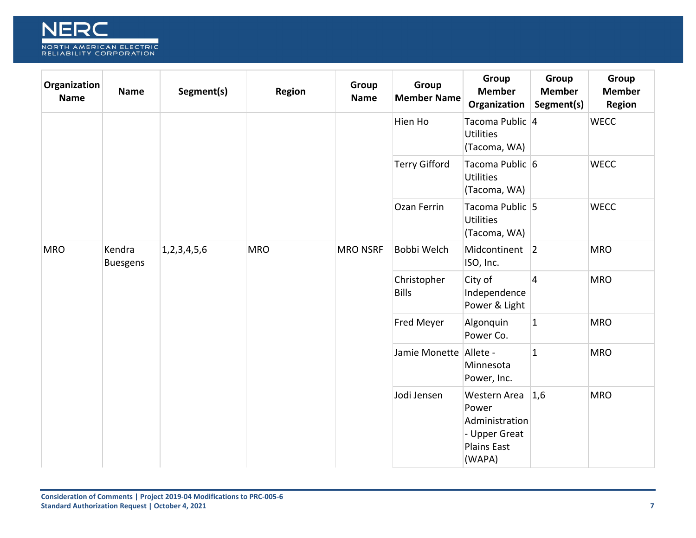

| Organization<br><b>Name</b> | <b>Name</b>               | Segment(s)                  | Region                                   | Group<br><b>Name</b> | Group<br><b>Member Name</b> | Group<br><b>Member</b><br>Organization                                                   | Group<br><b>Member</b><br>Segment(s) | Group<br><b>Member</b><br><b>Region</b> |
|-----------------------------|---------------------------|-----------------------------|------------------------------------------|----------------------|-----------------------------|------------------------------------------------------------------------------------------|--------------------------------------|-----------------------------------------|
|                             |                           |                             |                                          |                      | Hien Ho                     | Tacoma Public 4<br><b>Utilities</b><br>(Tacoma, WA)                                      |                                      | <b>WECC</b>                             |
|                             |                           |                             |                                          |                      | <b>Terry Gifford</b>        | Tacoma Public 6<br><b>Utilities</b><br>(Tacoma, WA)                                      |                                      | <b>WECC</b>                             |
|                             |                           |                             |                                          |                      | Ozan Ferrin                 | Tacoma Public 5<br><b>Utilities</b><br>(Tacoma, WA)                                      |                                      | <b>WECC</b>                             |
| <b>MRO</b>                  | Kendra<br><b>Buesgens</b> | 1,2,3,4,5,6                 | <b>MRO</b>                               | <b>MRO NSRF</b>      | Bobbi Welch                 | Midcontinent 2<br>ISO, Inc.                                                              |                                      | <b>MRO</b>                              |
|                             |                           | Christopher<br><b>Bills</b> | City of<br>Independence<br>Power & Light | $\vert$ 4            | <b>MRO</b>                  |                                                                                          |                                      |                                         |
|                             |                           |                             |                                          |                      | Fred Meyer                  | Algonquin<br>Power Co.                                                                   | $\mathbf{1}$                         | <b>MRO</b>                              |
|                             |                           |                             |                                          |                      | Jamie Monette Allete -      | Minnesota<br>Power, Inc.                                                                 | $\mathbf{1}$                         | <b>MRO</b>                              |
|                             |                           |                             |                                          |                      | Jodi Jensen                 | Western Area<br>Power<br>Administration<br>- Upper Great<br><b>Plains East</b><br>(WAPA) | 1,6                                  | <b>MRO</b>                              |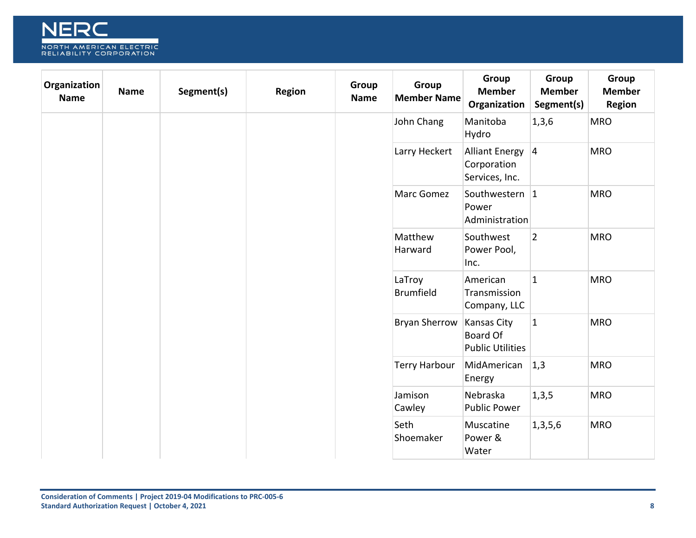

| Organization<br><b>Name</b> | <b>Name</b> | Segment(s) | <b>Region</b> | Group<br><b>Name</b> | Group<br><b>Member Name</b> | Group<br><b>Member</b><br>Organization                           | Group<br><b>Member</b><br>Segment(s) | Group<br><b>Member</b><br><b>Region</b> |
|-----------------------------|-------------|------------|---------------|----------------------|-----------------------------|------------------------------------------------------------------|--------------------------------------|-----------------------------------------|
|                             |             |            |               |                      | John Chang                  | Manitoba<br>Hydro                                                | 1, 3, 6                              | <b>MRO</b>                              |
|                             |             |            |               |                      | Larry Heckert               | Alliant Energy   4<br>Corporation<br>Services, Inc.              |                                      | <b>MRO</b>                              |
|                             |             |            |               |                      | Marc Gomez                  | Southwestern 1<br>Power<br>Administration                        |                                      | <b>MRO</b>                              |
|                             |             |            |               |                      | Matthew<br>Harward          | Southwest<br>Power Pool,<br>Inc.                                 | $\overline{2}$                       | <b>MRO</b>                              |
|                             |             |            |               |                      | LaTroy<br><b>Brumfield</b>  | American<br>Transmission<br>Company, LLC                         | $\mathbf{1}$                         | <b>MRO</b>                              |
|                             |             |            |               |                      | <b>Bryan Sherrow</b>        | <b>Kansas City</b><br><b>Board Of</b><br><b>Public Utilities</b> | $\mathbf{1}$                         | <b>MRO</b>                              |
|                             |             |            |               |                      | <b>Terry Harbour</b>        | MidAmerican<br>Energy                                            | 1,3                                  | <b>MRO</b>                              |
|                             |             |            |               |                      | Jamison<br>Cawley           | Nebraska<br><b>Public Power</b>                                  | 1,3,5                                | <b>MRO</b>                              |
|                             |             |            |               |                      | Seth<br>Shoemaker           | Muscatine<br>Power &<br>Water                                    | 1,3,5,6                              | <b>MRO</b>                              |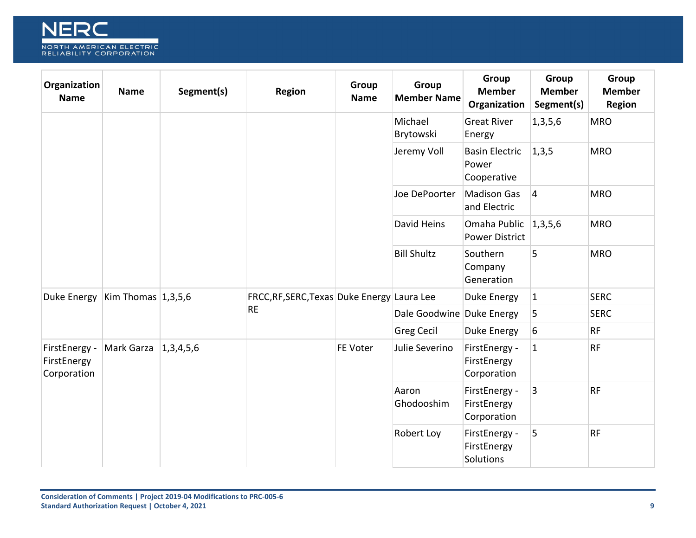

| Organization<br><b>Name</b>                 | <b>Name</b>        | Segment(s) | <b>Region</b>                               | Group<br><b>Name</b> | Group<br><b>Member Name</b> | Group<br><b>Member</b><br>Organization        | Group<br><b>Member</b><br>Segment(s) | Group<br><b>Member</b><br><b>Region</b> |
|---------------------------------------------|--------------------|------------|---------------------------------------------|----------------------|-----------------------------|-----------------------------------------------|--------------------------------------|-----------------------------------------|
|                                             |                    |            |                                             |                      | Michael<br>Brytowski        | <b>Great River</b><br>Energy                  | 1,3,5,6                              | <b>MRO</b>                              |
|                                             |                    |            |                                             |                      | Jeremy Voll                 | <b>Basin Electric</b><br>Power<br>Cooperative | 1,3,5                                | <b>MRO</b>                              |
|                                             |                    |            |                                             |                      | Joe DePoorter               | <b>Madison Gas</b><br>and Electric            | $\vert 4 \vert$                      | <b>MRO</b>                              |
|                                             |                    |            |                                             |                      | David Heins                 | Omaha Public<br><b>Power District</b>         | 1,3,5,6                              | <b>MRO</b>                              |
|                                             |                    |            |                                             |                      | <b>Bill Shultz</b>          | Southern<br>Company<br>Generation             | 5                                    | <b>MRO</b>                              |
| Duke Energy                                 | Kim Thomas 1,3,5,6 |            | FRCC, RF, SERC, Texas Duke Energy Laura Lee |                      |                             | Duke Energy                                   | $ 1\rangle$                          | <b>SERC</b>                             |
|                                             |                    |            | <b>RE</b>                                   |                      | Dale Goodwine Duke Energy   |                                               | 5                                    | <b>SERC</b>                             |
|                                             |                    |            |                                             |                      | <b>Greg Cecil</b>           | Duke Energy                                   | 6                                    | <b>RF</b>                               |
| FirstEnergy -<br>FirstEnergy<br>Corporation | Mark Garza         | 1,3,4,5,6  |                                             | FE Voter             | Julie Severino              | FirstEnergy -<br>FirstEnergy<br>Corporation   | $\mathbf{1}$                         | <b>RF</b>                               |
|                                             |                    |            |                                             |                      | Aaron<br>Ghodooshim         | FirstEnergy -<br>FirstEnergy<br>Corporation   | 3                                    | <b>RF</b>                               |
|                                             |                    |            |                                             |                      | Robert Loy                  | FirstEnergy -<br>FirstEnergy<br>Solutions     | 5                                    | <b>RF</b>                               |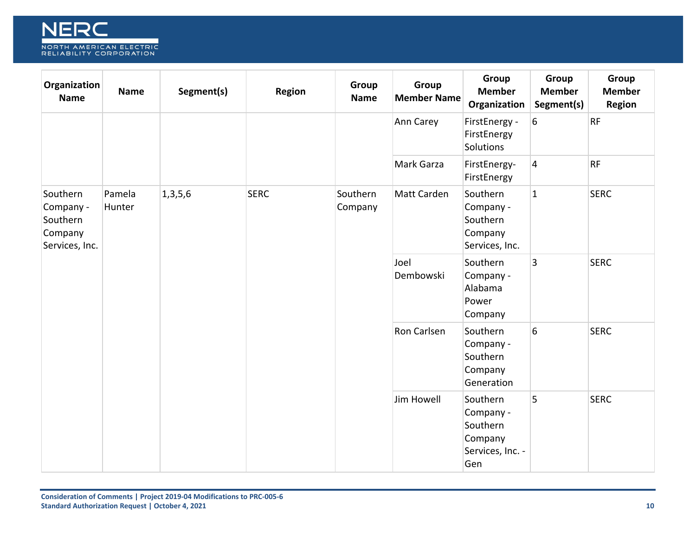

| Organization<br><b>Name</b>                                    | <b>Name</b>      | Segment(s) | Region      | Group<br><b>Name</b> | Group<br><b>Member Name</b> | Group<br><b>Member</b><br>Organization                                  | Group<br><b>Member</b><br>Segment(s) | Group<br><b>Member</b><br><b>Region</b> |
|----------------------------------------------------------------|------------------|------------|-------------|----------------------|-----------------------------|-------------------------------------------------------------------------|--------------------------------------|-----------------------------------------|
|                                                                |                  |            |             |                      | Ann Carey                   | FirstEnergy -<br>FirstEnergy<br>Solutions                               | 6                                    | <b>RF</b>                               |
|                                                                |                  |            |             |                      | Mark Garza                  | FirstEnergy-<br>FirstEnergy                                             | $\overline{4}$                       | <b>RF</b>                               |
| Southern<br>Company -<br>Southern<br>Company<br>Services, Inc. | Pamela<br>Hunter | 1,3,5,6    | <b>SERC</b> | Southern<br>Company  | Matt Carden                 | Southern<br>Company -<br>Southern<br>Company<br>Services, Inc.          | $\overline{1}$                       | <b>SERC</b>                             |
|                                                                |                  |            |             |                      | Joel<br>Dembowski           | Southern<br>Company -<br>Alabama<br>Power<br>Company                    | $\overline{3}$                       | <b>SERC</b>                             |
|                                                                |                  |            |             |                      | Ron Carlsen                 | Southern<br>Company -<br>Southern<br>Company<br>Generation              | 6                                    | <b>SERC</b>                             |
|                                                                |                  |            |             |                      | Jim Howell                  | Southern<br>Company -<br>Southern<br>Company<br>Services, Inc. -<br>Gen | 5                                    | <b>SERC</b>                             |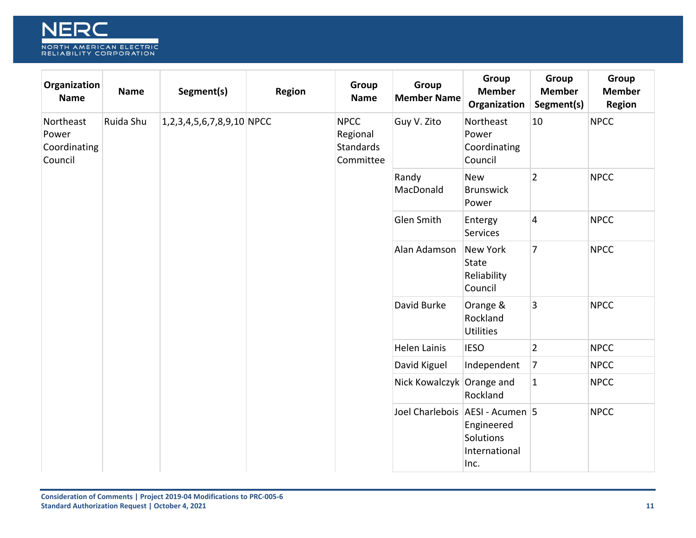

| Organization<br><b>Name</b>                   | <b>Name</b> | Segment(s)                  | Region | Group<br><b>Name</b>                                     | Group<br><b>Member Name</b>       | Group<br><b>Member</b><br>Organization                    | Group<br><b>Member</b><br>Segment(s) | Group<br><b>Member</b><br><b>Region</b> |
|-----------------------------------------------|-------------|-----------------------------|--------|----------------------------------------------------------|-----------------------------------|-----------------------------------------------------------|--------------------------------------|-----------------------------------------|
| Northeast<br>Power<br>Coordinating<br>Council | Ruida Shu   | $1,2,3,4,5,6,7,8,9,10$ NPCC |        | <b>NPCC</b><br>Regional<br><b>Standards</b><br>Committee | Guy V. Zito                       | Northeast<br>Power<br>Coordinating<br>Council             | 10                                   | <b>NPCC</b>                             |
|                                               |             |                             |        |                                                          | Randy<br>MacDonald                | <b>New</b><br><b>Brunswick</b><br>Power                   | $\overline{2}$                       | <b>NPCC</b>                             |
|                                               |             |                             |        |                                                          | Glen Smith                        | Entergy<br>Services                                       | $\overline{4}$                       | <b>NPCC</b>                             |
|                                               |             |                             |        |                                                          | Alan Adamson                      | <b>New York</b><br><b>State</b><br>Reliability<br>Council | $\overline{7}$                       | <b>NPCC</b>                             |
|                                               |             |                             |        |                                                          | David Burke                       | Orange &<br>Rockland<br><b>Utilities</b>                  | 3                                    | <b>NPCC</b>                             |
|                                               |             |                             |        |                                                          | <b>Helen Lainis</b>               | <b>IESO</b>                                               | $\overline{2}$                       | <b>NPCC</b>                             |
|                                               |             |                             |        |                                                          | David Kiguel                      | Independent                                               | $\overline{7}$                       | <b>NPCC</b>                             |
|                                               |             |                             |        |                                                          | Nick Kowalczyk Orange and         | Rockland                                                  | $\mathbf{1}$                         | <b>NPCC</b>                             |
|                                               |             |                             |        |                                                          | Joel Charlebois   AESI - Acumen 5 | Engineered<br>Solutions<br>International<br>Inc.          |                                      | <b>NPCC</b>                             |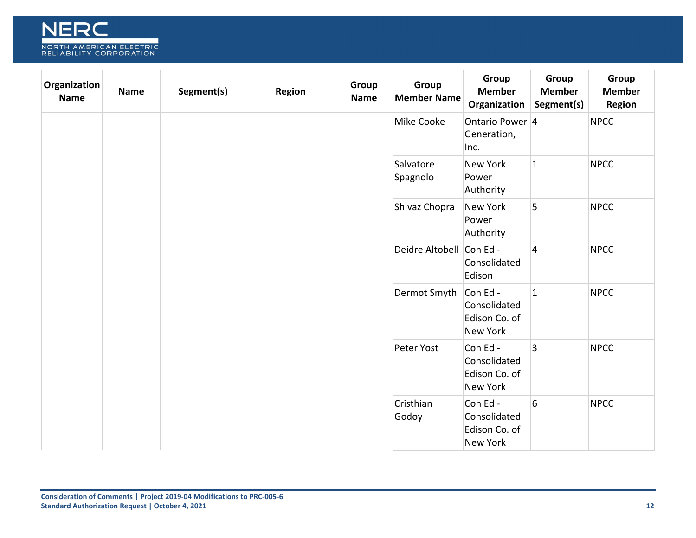

| Organization<br><b>Name</b> | <b>Name</b> | Segment(s) | Region | Group<br><b>Name</b> | Group<br><b>Member Name</b> | Group<br><b>Member</b><br>Organization                      | Group<br><b>Member</b><br>Segment(s) | Group<br><b>Member</b><br><b>Region</b> |
|-----------------------------|-------------|------------|--------|----------------------|-----------------------------|-------------------------------------------------------------|--------------------------------------|-----------------------------------------|
|                             |             |            |        |                      | Mike Cooke                  | Ontario Power 4<br>Generation,<br>Inc.                      |                                      | <b>NPCC</b>                             |
|                             |             |            |        |                      | Salvatore<br>Spagnolo       | <b>New York</b><br>Power<br>Authority                       | $\vert$ 1                            | <b>NPCC</b>                             |
|                             |             |            |        |                      | Shivaz Chopra               | New York<br>Power<br>Authority                              | 5                                    | <b>NPCC</b>                             |
|                             |             |            |        |                      | Deidre Altobell Con Ed -    | Consolidated<br>Edison                                      | $\vert$ 4                            | <b>NPCC</b>                             |
|                             |             |            |        |                      | Dermot Smyth                | Con Ed-<br>Consolidated<br>Edison Co. of<br>New York        | $\overline{1}$                       | <b>NPCC</b>                             |
|                             |             |            |        |                      | Peter Yost                  | Con Ed-<br>Consolidated<br>Edison Co. of<br>New York        | $\overline{3}$                       | <b>NPCC</b>                             |
|                             |             |            |        |                      | Cristhian<br>Godoy          | Con Ed-<br>Consolidated<br>Edison Co. of<br><b>New York</b> | $6\overline{6}$                      | <b>NPCC</b>                             |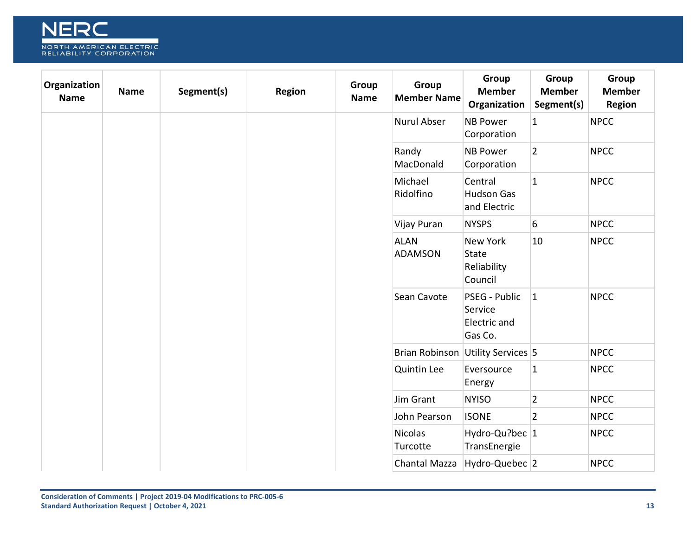

| Organization<br><b>Name</b> | <b>Name</b> | Segment(s) | Region | Group<br><b>Name</b> | Group<br><b>Member Name</b>   | Group<br><b>Member</b><br>Organization                    | Group<br><b>Member</b><br>Segment(s) | Group<br><b>Member</b><br><b>Region</b> |
|-----------------------------|-------------|------------|--------|----------------------|-------------------------------|-----------------------------------------------------------|--------------------------------------|-----------------------------------------|
|                             |             |            |        |                      | Nurul Abser                   | <b>NB Power</b><br>Corporation                            | $\mathbf{1}$                         | <b>NPCC</b>                             |
|                             |             |            |        |                      | Randy<br>MacDonald            | <b>NB Power</b><br>Corporation                            | $\overline{2}$                       | <b>NPCC</b>                             |
|                             |             |            |        |                      | Michael<br>Ridolfino          | Central<br><b>Hudson Gas</b><br>and Electric              | $\overline{1}$                       | <b>NPCC</b>                             |
|                             |             |            |        |                      | Vijay Puran                   | <b>NYSPS</b>                                              | $6\overline{6}$                      | <b>NPCC</b>                             |
|                             |             |            |        |                      | <b>ALAN</b><br><b>ADAMSON</b> | <b>New York</b><br><b>State</b><br>Reliability<br>Council | 10                                   | <b>NPCC</b>                             |
|                             |             |            |        |                      | Sean Cavote                   | PSEG - Public<br>Service<br>Electric and<br>Gas Co.       | $ 1\rangle$                          | <b>NPCC</b>                             |
|                             |             |            |        |                      | <b>Brian Robinson</b>         | Utility Services 5                                        |                                      | <b>NPCC</b>                             |
|                             |             |            |        |                      | <b>Quintin Lee</b>            | Eversource<br>Energy                                      | $\overline{1}$                       | <b>NPCC</b>                             |
|                             |             |            |        |                      | Jim Grant                     | <b>NYISO</b>                                              | $\overline{2}$                       | <b>NPCC</b>                             |
|                             |             |            |        |                      | John Pearson                  | <b>ISONE</b>                                              | $\overline{2}$                       | <b>NPCC</b>                             |
|                             |             |            |        |                      | <b>Nicolas</b><br>Turcotte    | Hydro-Qu?bec 1<br>TransEnergie                            |                                      | <b>NPCC</b>                             |
|                             |             |            |        |                      | Chantal Mazza                 | Hydro-Quebec 2                                            |                                      | <b>NPCC</b>                             |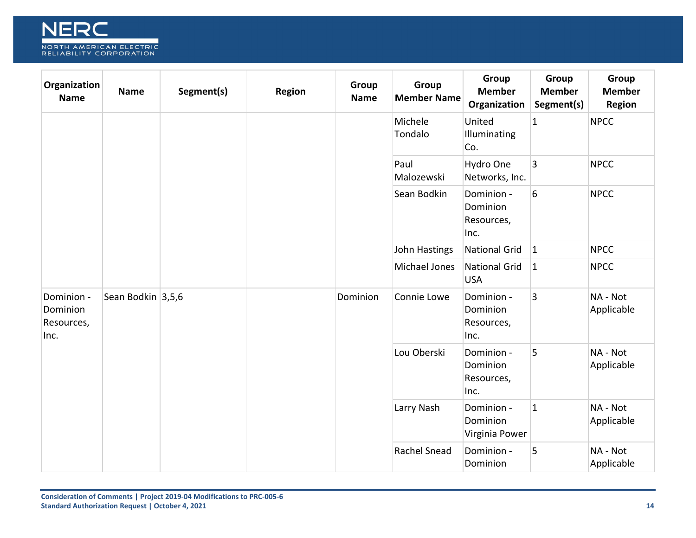

| Organization<br><b>Name</b>                  | <b>Name</b>       | Segment(s) | Region | Group<br><b>Name</b> | Group<br><b>Member Name</b> | Group<br><b>Member</b><br>Organization       | Group<br><b>Member</b><br>Segment(s) | Group<br><b>Member</b><br><b>Region</b> |
|----------------------------------------------|-------------------|------------|--------|----------------------|-----------------------------|----------------------------------------------|--------------------------------------|-----------------------------------------|
|                                              |                   |            |        |                      | Michele<br>Tondalo          | United<br>Illuminating<br>Co.                | $\mathbf{1}$                         | <b>NPCC</b>                             |
|                                              |                   |            |        |                      | Paul<br>Malozewski          | Hydro One<br>Networks, Inc.                  | 3                                    | <b>NPCC</b>                             |
|                                              |                   |            |        |                      | Sean Bodkin                 | Dominion -<br>Dominion<br>Resources,<br>Inc. | 6                                    | <b>NPCC</b>                             |
|                                              |                   |            |        |                      | John Hastings               | <b>National Grid</b>                         | $ 1\rangle$                          | <b>NPCC</b>                             |
|                                              |                   |            |        |                      | Michael Jones               | <b>National Grid</b><br><b>USA</b>           | $\vert$ 1                            | <b>NPCC</b>                             |
| Dominion -<br>Dominion<br>Resources,<br>Inc. | Sean Bodkin 3,5,6 |            |        | Dominion             | Connie Lowe                 | Dominion -<br>Dominion<br>Resources,<br>Inc. | 3                                    | NA - Not<br>Applicable                  |
|                                              |                   |            |        |                      | Lou Oberski                 | Dominion -<br>Dominion<br>Resources,<br>Inc. | 5                                    | NA - Not<br>Applicable                  |
|                                              |                   |            |        |                      | Larry Nash                  | Dominion -<br>Dominion<br>Virginia Power     | $\overline{1}$                       | NA - Not<br>Applicable                  |
|                                              |                   |            |        |                      | Rachel Snead                | Dominion -<br>Dominion                       | 5                                    | NA - Not<br>Applicable                  |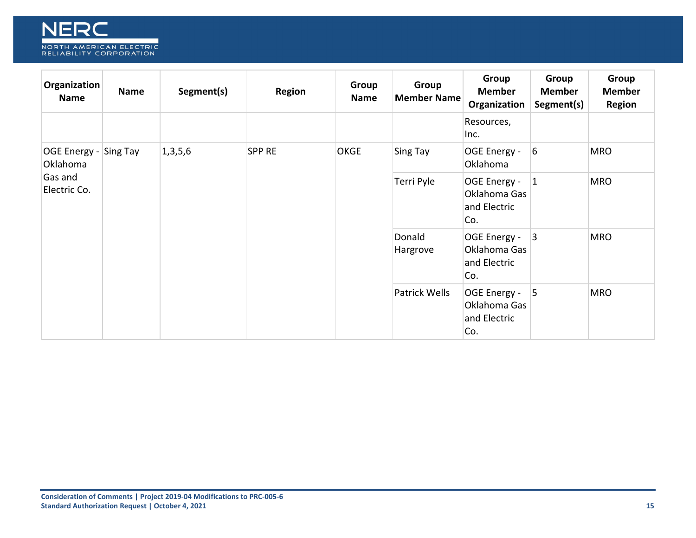

| Organization<br>Name              | <b>Name</b> | Segment(s) | Region        | Group<br><b>Name</b> | Group<br><b>Member Name</b> | Group<br><b>Member</b><br>Organization              | Group<br><b>Member</b><br>Segment(s) | Group<br><b>Member</b><br><b>Region</b> |
|-----------------------------------|-------------|------------|---------------|----------------------|-----------------------------|-----------------------------------------------------|--------------------------------------|-----------------------------------------|
|                                   |             |            |               |                      |                             | Resources,<br>Inc.                                  |                                      |                                         |
| OGE Energy - Sing Tay<br>Oklahoma |             | 1,3,5,6    | <b>SPP RE</b> | <b>OKGE</b>          | Sing Tay                    | OGE Energy -<br>Oklahoma                            | $\vert 6 \vert$                      | <b>MRO</b>                              |
| Gas and<br>Electric Co.           |             |            |               |                      | Terri Pyle                  | OGE Energy -<br>Oklahoma Gas<br>and Electric<br>Co. | $ 1\rangle$                          | <b>MRO</b>                              |
|                                   |             |            |               |                      | Donald<br>Hargrove          | OGE Energy -<br>Oklahoma Gas<br>and Electric<br>Co. | 3                                    | <b>MRO</b>                              |
|                                   |             |            |               |                      | Patrick Wells               | OGE Energy -<br>Oklahoma Gas<br>and Electric<br>Co. | 5                                    | <b>MRO</b>                              |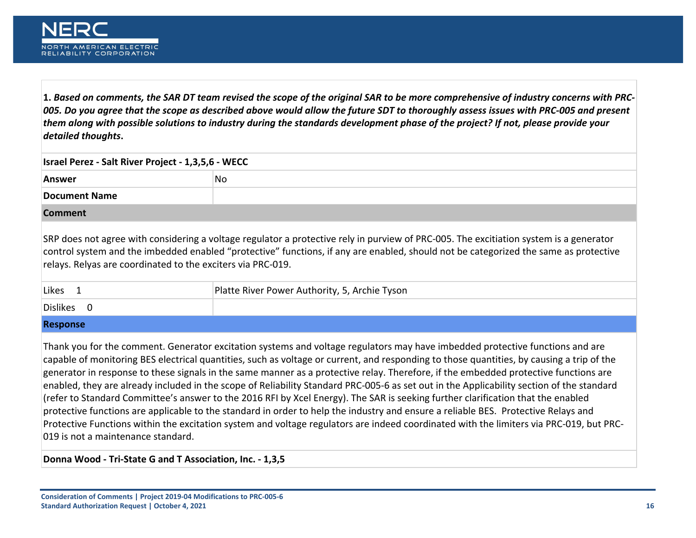

<span id="page-15-0"></span>**1.** *Based on comments, the SAR DT team revised the scope of the original SAR to be more comprehensive of industry concerns with PRC-005. Do you agree that the scope as described above would allow the future SDT to thoroughly assess issues with PRC-005 and present them along with possible solutions to industry during the standards development phase of the project? If not, please provide your detailed thoughts***.**

| Israel Perez - Salt River Project - 1,3,5,6 - WECC          |                                                                                                                                                                                                                                                                                |  |  |  |  |  |  |
|-------------------------------------------------------------|--------------------------------------------------------------------------------------------------------------------------------------------------------------------------------------------------------------------------------------------------------------------------------|--|--|--|--|--|--|
| Answer                                                      | No.                                                                                                                                                                                                                                                                            |  |  |  |  |  |  |
| Document Name                                               |                                                                                                                                                                                                                                                                                |  |  |  |  |  |  |
| <b>Comment</b>                                              |                                                                                                                                                                                                                                                                                |  |  |  |  |  |  |
| relays. Relyas are coordinated to the exciters via PRC-019. | SRP does not agree with considering a voltage regulator a protective rely in purview of PRC-005. The excitiation system is a generator<br>control system and the imbedded enabled "protective" functions, if any are enabled, should not be categorized the same as protective |  |  |  |  |  |  |

| Likes    | Platte River Power Authority, 5, Archie Tyson |
|----------|-----------------------------------------------|
| Dislikes |                                               |

#### **Response**

Thank you for the comment. Generator excitation systems and voltage regulators may have imbedded protective functions and are capable of monitoring BES electrical quantities, such as voltage or current, and responding to those quantities, by causing a trip of the generator in response to these signals in the same manner as a protective relay. Therefore, if the embedded protective functions are enabled, they are already included in the scope of Reliability Standard PRC-005-6 as set out in the Applicability section of the standard (refer to Standard Committee's answer to the 2016 RFI by Xcel Energy). The SAR is seeking further clarification that the enabled protective functions are applicable to the standard in order to help the industry and ensure a reliable BES. Protective Relays and Protective Functions within the excitation system and voltage regulators are indeed coordinated with the limiters via PRC-019, but PRC-019 is not a maintenance standard.

**Donna Wood - Tri-State G and T Association, Inc. - 1,3,5**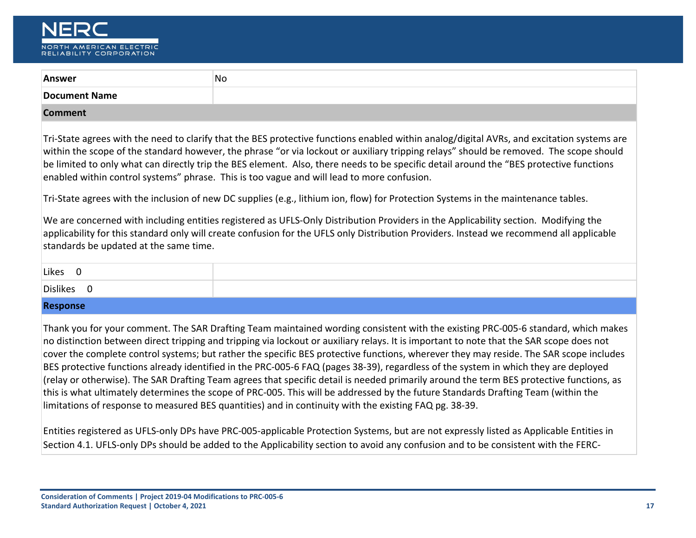| NER                                                |
|----------------------------------------------------|
| NORTH AMERICAN ELECTRIC<br>RELIABILITY CORPORATION |

| Answer                                                                                                                                                                                                                                                                                                                                                                                                                                                                                                                                                                                                                                                                                                                                                                                                                                                                                                                                                                                                                                                                                                 | <b>No</b> |  |
|--------------------------------------------------------------------------------------------------------------------------------------------------------------------------------------------------------------------------------------------------------------------------------------------------------------------------------------------------------------------------------------------------------------------------------------------------------------------------------------------------------------------------------------------------------------------------------------------------------------------------------------------------------------------------------------------------------------------------------------------------------------------------------------------------------------------------------------------------------------------------------------------------------------------------------------------------------------------------------------------------------------------------------------------------------------------------------------------------------|-----------|--|
| <b>Document Name</b>                                                                                                                                                                                                                                                                                                                                                                                                                                                                                                                                                                                                                                                                                                                                                                                                                                                                                                                                                                                                                                                                                   |           |  |
| <b>Comment</b>                                                                                                                                                                                                                                                                                                                                                                                                                                                                                                                                                                                                                                                                                                                                                                                                                                                                                                                                                                                                                                                                                         |           |  |
| Tri-State agrees with the need to clarify that the BES protective functions enabled within analog/digital AVRs, and excitation systems are<br>within the scope of the standard however, the phrase "or via lockout or auxiliary tripping relays" should be removed. The scope should<br>be limited to only what can directly trip the BES element. Also, there needs to be specific detail around the "BES protective functions<br>enabled within control systems" phrase. This is too vague and will lead to more confusion.<br>Tri-State agrees with the inclusion of new DC supplies (e.g., lithium ion, flow) for Protection Systems in the maintenance tables.                                                                                                                                                                                                                                                                                                                                                                                                                                    |           |  |
| We are concerned with including entities registered as UFLS-Only Distribution Providers in the Applicability section. Modifying the<br>applicability for this standard only will create confusion for the UFLS only Distribution Providers. Instead we recommend all applicable<br>standards be updated at the same time.                                                                                                                                                                                                                                                                                                                                                                                                                                                                                                                                                                                                                                                                                                                                                                              |           |  |
| Likes 0                                                                                                                                                                                                                                                                                                                                                                                                                                                                                                                                                                                                                                                                                                                                                                                                                                                                                                                                                                                                                                                                                                |           |  |
| Dislikes 0                                                                                                                                                                                                                                                                                                                                                                                                                                                                                                                                                                                                                                                                                                                                                                                                                                                                                                                                                                                                                                                                                             |           |  |
| <b>Response</b>                                                                                                                                                                                                                                                                                                                                                                                                                                                                                                                                                                                                                                                                                                                                                                                                                                                                                                                                                                                                                                                                                        |           |  |
| Thank you for your comment. The SAR Drafting Team maintained wording consistent with the existing PRC-005-6 standard, which makes<br>no distinction between direct tripping and tripping via lockout or auxiliary relays. It is important to note that the SAR scope does not<br>cover the complete control systems; but rather the specific BES protective functions, wherever they may reside. The SAR scope includes<br>BES protective functions already identified in the PRC-005-6 FAQ (pages 38-39), regardless of the system in which they are deployed<br>(relay or otherwise). The SAR Drafting Team agrees that specific detail is needed primarily around the term BES protective functions, as<br>this is what ultimately determines the scope of PRC-005. This will be addressed by the future Standards Drafting Team (within the<br>limitations of response to measured BES quantities) and in continuity with the existing FAQ pg. 38-39.<br>Fatities assistance of HELC, and DDD house DDC, OOF, anglicable Dastasting Customer but age not cumagedy listed as Anglicable Fatities in |           |  |

Entities registered as UFLS-only DPs have PRC-005-applicable Protection Systems, but are not expressly listed as Applicable Entities in Section 4.1. UFLS-only DPs should be added to the Applicability section to avoid any confusion and to be consistent with the FERC-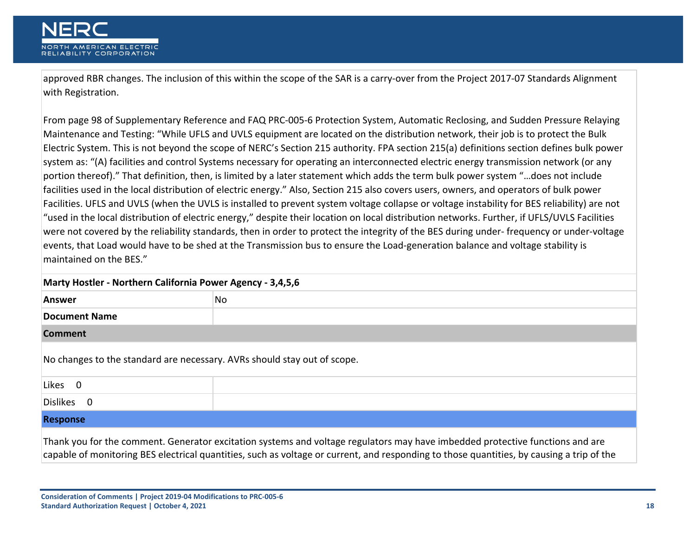approved RBR changes. The inclusion of this within the scope of the SAR is a carry-over from the Project 2017-07 Standards Alignment with Registration.

From page 98 of Supplementary Reference and FAQ PRC-005-6 Protection System, Automatic Reclosing, and Sudden Pressure Relaying Maintenance and Testing: "While UFLS and UVLS equipment are located on the distribution network, their job is to protect the Bulk Electric System. This is not beyond the scope of NERC's Section 215 authority. FPA section 215(a) definitions section defines bulk power system as: "(A) facilities and control Systems necessary for operating an interconnected electric energy transmission network (or any portion thereof)." That definition, then, is limited by a later statement which adds the term bulk power system "…does not include facilities used in the local distribution of electric energy." Also, Section 215 also covers users, owners, and operators of bulk power Facilities. UFLS and UVLS (when the UVLS is installed to prevent system voltage collapse or voltage instability for BES reliability) are not "used in the local distribution of electric energy," despite their location on local distribution networks. Further, if UFLS/UVLS Facilities were not covered by the reliability standards, then in order to protect the integrity of the BES during under- frequency or under-voltage events, that Load would have to be shed at the Transmission bus to ensure the Load-generation balance and voltage stability is maintained on the BES."

| Marty Hostler - Northern California Power Agency - 3,4,5,6               |                                                                                                                                                                                                                                                                            |
|--------------------------------------------------------------------------|----------------------------------------------------------------------------------------------------------------------------------------------------------------------------------------------------------------------------------------------------------------------------|
| <b>Answer</b>                                                            | No                                                                                                                                                                                                                                                                         |
| <b>Document Name</b>                                                     |                                                                                                                                                                                                                                                                            |
| <b>Comment</b>                                                           |                                                                                                                                                                                                                                                                            |
| No changes to the standard are necessary. AVRs should stay out of scope. |                                                                                                                                                                                                                                                                            |
| Likes 0                                                                  |                                                                                                                                                                                                                                                                            |
| Dislikes 0                                                               |                                                                                                                                                                                                                                                                            |
| <b>Response</b>                                                          |                                                                                                                                                                                                                                                                            |
|                                                                          | Thank you for the comment. Generator excitation systems and voltage regulators may have imbedded protective functions and are<br>capable of monitoring BES electrical quantities, such as voltage or current, and responding to those quantities, by causing a trip of the |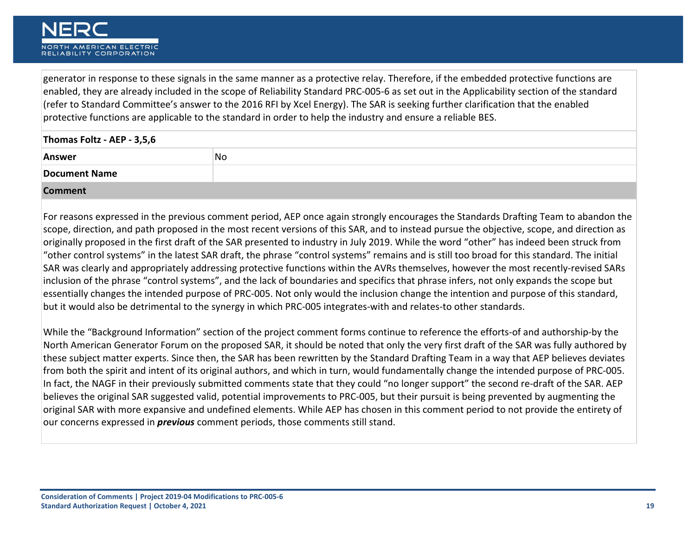generator in response to these signals in the same manner as a protective relay. Therefore, if the embedded protective functions are enabled, they are already included in the scope of Reliability Standard PRC-005-6 as set out in the Applicability section of the standard (refer to Standard Committee's answer to the 2016 RFI by Xcel Energy). The SAR is seeking further clarification that the enabled protective functions are applicable to the standard in order to help the industry and ensure a reliable BES.

| Thomas Foltz - AEP - 3,5,6 |    |
|----------------------------|----|
| Answer                     | No |
| <b>Document Name</b>       |    |
| <b>Comment</b>             |    |

For reasons expressed in the previous comment period, AEP once again strongly encourages the Standards Drafting Team to abandon the scope, direction, and path proposed in the most recent versions of this SAR, and to instead pursue the objective, scope, and direction as originally proposed in the first draft of the SAR presented to industry in July 2019. While the word "other" has indeed been struck from "other control systems" in the latest SAR draft, the phrase "control systems" remains and is still too broad for this standard. The initial SAR was clearly and appropriately addressing protective functions within the AVRs themselves, however the most recently-revised SARs inclusion of the phrase "control systems", and the lack of boundaries and specifics that phrase infers, not only expands the scope but essentially changes the intended purpose of PRC-005. Not only would the inclusion change the intention and purpose of this standard, but it would also be detrimental to the synergy in which PRC-005 integrates-with and relates-to other standards.

While the "Background Information" section of the project comment forms continue to reference the efforts-of and authorship-by the North American Generator Forum on the proposed SAR, it should be noted that only the very first draft of the SAR was fully authored by these subject matter experts. Since then, the SAR has been rewritten by the Standard Drafting Team in a way that AEP believes deviates from both the spirit and intent of its original authors, and which in turn, would fundamentally change the intended purpose of PRC-005. In fact, the NAGF in their previously submitted comments state that they could "no longer support" the second re-draft of the SAR. AEP believes the original SAR suggested valid, potential improvements to PRC-005, but their pursuit is being prevented by augmenting the original SAR with more expansive and undefined elements. While AEP has chosen in this comment period to not provide the entirety of our concerns expressed in *previous* comment periods, those comments still stand.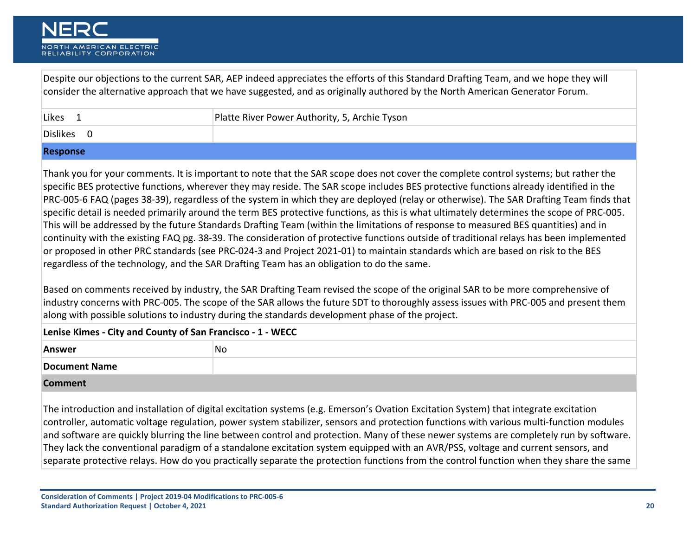

Despite our objections to the current SAR, AEP indeed appreciates the efforts of this Standard Drafting Team, and we hope they will consider the alternative approach that we have suggested, and as originally authored by the North American Generator Forum.

| Likes                                                                                                                                                                                                                          | Platte River Power Authority, 5, Archie Tyson |
|--------------------------------------------------------------------------------------------------------------------------------------------------------------------------------------------------------------------------------|-----------------------------------------------|
| Dislikes                                                                                                                                                                                                                       |                                               |
| in the second company of the second second company of the second second company of the second second second second second second second second second second second second second second second second second second second se |                                               |

## **Response**

Thank you for your comments. It is important to note that the SAR scope does not cover the complete control systems; but rather the specific BES protective functions, wherever they may reside. The SAR scope includes BES protective functions already identified in the PRC-005-6 FAQ (pages 38-39), regardless of the system in which they are deployed (relay or otherwise). The SAR Drafting Team finds that specific detail is needed primarily around the term BES protective functions, as this is what ultimately determines the scope of PRC-005. This will be addressed by the future Standards Drafting Team (within the limitations of response to measured BES quantities) and in continuity with the existing FAQ pg. 38-39. The consideration of protective functions outside of traditional relays has been implemented or proposed in other PRC standards (see PRC-024-3 and Project 2021-01) to maintain standards which are based on risk to the BES regardless of the technology, and the SAR Drafting Team has an obligation to do the same.

Based on comments received by industry, the SAR Drafting Team revised the scope of the original SAR to be more comprehensive of industry concerns with PRC-005. The scope of the SAR allows the future SDT to thoroughly assess issues with PRC-005 and present them along with possible solutions to industry during the standards development phase of the project.

| Lenise Kimes - City and County of San Francisco - 1 - WECC |    |
|------------------------------------------------------------|----|
| <b>Answer</b>                                              | No |
| Document Name                                              |    |
| <b>Comment</b>                                             |    |

The introduction and installation of digital excitation systems (e.g. Emerson's Ovation Excitation System) that integrate excitation controller, automatic voltage regulation, power system stabilizer, sensors and protection functions with various multi-function modules and software are quickly blurring the line between control and protection. Many of these newer systems are completely run by software. They lack the conventional paradigm of a standalone excitation system equipped with an AVR/PSS, voltage and current sensors, and separate protective relays. How do you practically separate the protection functions from the control function when they share the same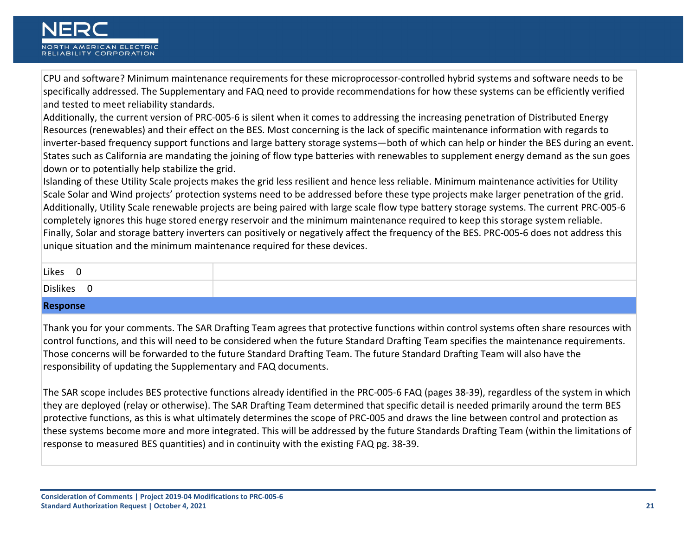CPU and software? Minimum maintenance requirements for these microprocessor-controlled hybrid systems and software needs to be specifically addressed. The Supplementary and FAQ need to provide recommendations for how these systems can be efficiently verified and tested to meet reliability standards.

Additionally, the current version of PRC-005-6 is silent when it comes to addressing the increasing penetration of Distributed Energy Resources (renewables) and their effect on the BES. Most concerning is the lack of specific maintenance information with regards to inverter-based frequency support functions and large battery storage systems—both of which can help or hinder the BES during an event. States such as California are mandating the joining of flow type batteries with renewables to supplement energy demand as the sun goes down or to potentially help stabilize the grid.

Islanding of these Utility Scale projects makes the grid less resilient and hence less reliable. Minimum maintenance activities for Utility Scale Solar and Wind projects' protection systems need to be addressed before these type projects make larger penetration of the grid. Additionally, Utility Scale renewable projects are being paired with large scale flow type battery storage systems. The current PRC-005-6 completely ignores this huge stored energy reservoir and the minimum maintenance required to keep this storage system reliable. Finally, Solar and storage battery inverters can positively or negatively affect the frequency of the BES. PRC-005-6 does not address this unique situation and the minimum maintenance required for these devices.

| <b>Dislikes</b> | Likes<br>∼ |  |
|-----------------|------------|--|
|                 |            |  |

## **Response**

Thank you for your comments. The SAR Drafting Team agrees that protective functions within control systems often share resources with control functions, and this will need to be considered when the future Standard Drafting Team specifies the maintenance requirements. Those concerns will be forwarded to the future Standard Drafting Team. The future Standard Drafting Team will also have the responsibility of updating the Supplementary and FAQ documents.

The SAR scope includes BES protective functions already identified in the PRC-005-6 FAQ (pages 38-39), regardless of the system in which they are deployed (relay or otherwise). The SAR Drafting Team determined that specific detail is needed primarily around the term BES protective functions, as this is what ultimately determines the scope of PRC-005 and draws the line between control and protection as these systems become more and more integrated. This will be addressed by the future Standards Drafting Team (within the limitations of response to measured BES quantities) and in continuity with the existing FAQ pg. 38-39.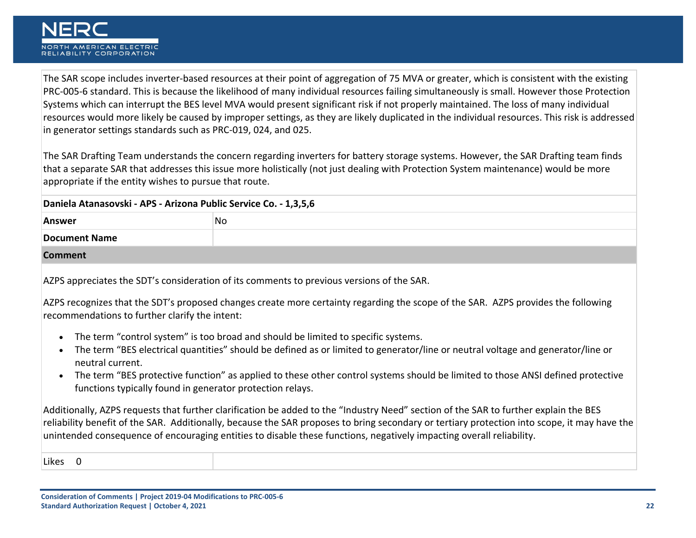

The SAR scope includes inverter-based resources at their point of aggregation of 75 MVA or greater, which is consistent with the existing PRC-005-6 standard. This is because the likelihood of many individual resources failing simultaneously is small. However those Protection Systems which can interrupt the BES level MVA would present significant risk if not properly maintained. The loss of many individual resources would more likely be caused by improper settings, as they are likely duplicated in the individual resources. This risk is addressed in generator settings standards such as PRC-019, 024, and 025.

The SAR Drafting Team understands the concern regarding inverters for battery storage systems. However, the SAR Drafting team finds that a separate SAR that addresses this issue more holistically (not just dealing with Protection System maintenance) would be more appropriate if the entity wishes to pursue that route.

| Daniela Atanasovski - APS - Arizona Public Service Co. - 1,3,5,6 |    |
|------------------------------------------------------------------|----|
| <b>Answer</b>                                                    | No |
| Document Name                                                    |    |
| <b>Comment</b>                                                   |    |

AZPS appreciates the SDT's consideration of its comments to previous versions of the SAR.

AZPS recognizes that the SDT's proposed changes create more certainty regarding the scope of the SAR. AZPS provides the following recommendations to further clarify the intent:

- The term "control system" is too broad and should be limited to specific systems.
- The term "BES electrical quantities" should be defined as or limited to generator/line or neutral voltage and generator/line or neutral current.
- The term "BES protective function" as applied to these other control systems should be limited to those ANSI defined protective functions typically found in generator protection relays.

Additionally, AZPS requests that further clarification be added to the "Industry Need" section of the SAR to further explain the BES reliability benefit of the SAR. Additionally, because the SAR proposes to bring secondary or tertiary protection into scope, it may have the unintended consequence of encouraging entities to disable these functions, negatively impacting overall reliability.

Likes 0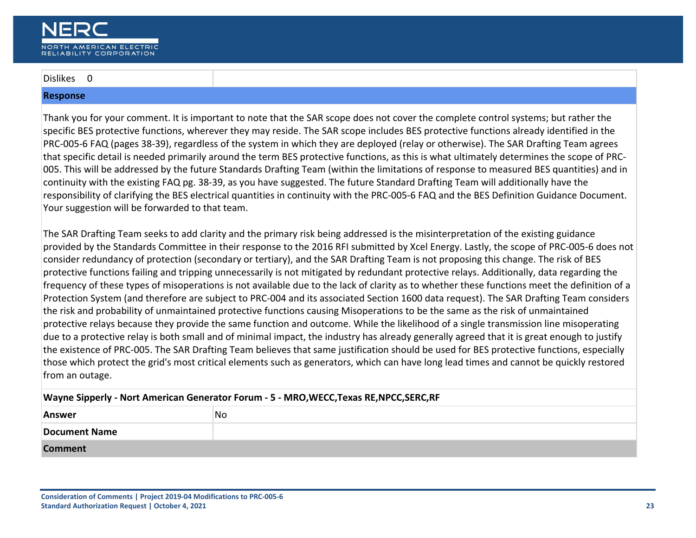## Dislikes 0

### **Response**

Thank you for your comment. It is important to note that the SAR scope does not cover the complete control systems; but rather the specific BES protective functions, wherever they may reside. The SAR scope includes BES protective functions already identified in the PRC-005-6 FAQ (pages 38-39), regardless of the system in which they are deployed (relay or otherwise). The SAR Drafting Team agrees that specific detail is needed primarily around the term BES protective functions, as this is what ultimately determines the scope of PRC-005. This will be addressed by the future Standards Drafting Team (within the limitations of response to measured BES quantities) and in continuity with the existing FAQ pg. 38-39, as you have suggested. The future Standard Drafting Team will additionally have the responsibility of clarifying the BES electrical quantities in continuity with the PRC-005-6 FAQ and the BES Definition Guidance Document. Your suggestion will be forwarded to that team.

The SAR Drafting Team seeks to add clarity and the primary risk being addressed is the misinterpretation of the existing guidance provided by the Standards Committee in their response to the 2016 RFI submitted by Xcel Energy. Lastly, the scope of PRC-005-6 does not consider redundancy of protection (secondary or tertiary), and the SAR Drafting Team is not proposing this change. The risk of BES protective functions failing and tripping unnecessarily is not mitigated by redundant protective relays. Additionally, data regarding the frequency of these types of misoperations is not available due to the lack of clarity as to whether these functions meet the definition of a Protection System (and therefore are subject to PRC-004 and its associated Section 1600 data request). The SAR Drafting Team considers the risk and probability of unmaintained protective functions causing Misoperations to be the same as the risk of unmaintained protective relays because they provide the same function and outcome. While the likelihood of a single transmission line misoperating due to a protective relay is both small and of minimal impact, the industry has already generally agreed that it is great enough to justify the existence of PRC-005. The SAR Drafting Team believes that same justification should be used for BES protective functions, especially those which protect the grid's most critical elements such as generators, which can have long lead times and cannot be quickly restored from an outage.

## **Wayne Sipperly - Nort American Generator Forum - 5 - MRO,WECC,Texas RE,NPCC,SERC,RF**

| <b>Answer</b>        | No |
|----------------------|----|
| <b>Document Name</b> |    |
| <b>Comment</b>       |    |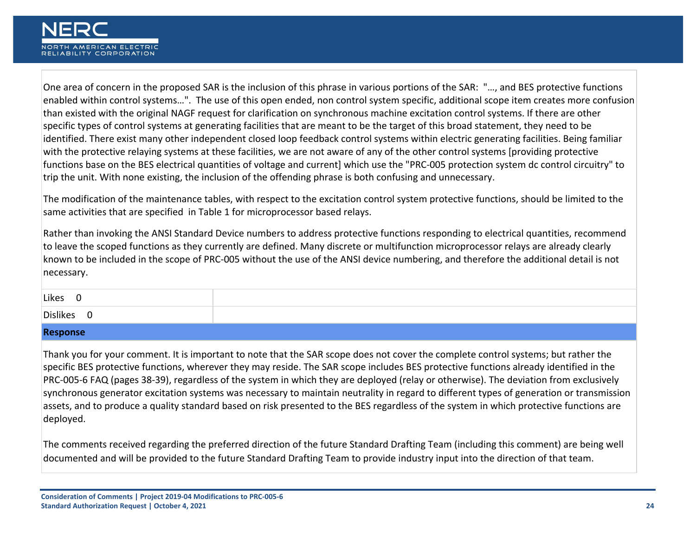One area of concern in the proposed SAR is the inclusion of this phrase in various portions of the SAR: "…, and BES protective functions enabled within control systems…". The use of this open ended, non control system specific, additional scope item creates more confusion than existed with the original NAGF request for clarification on synchronous machine excitation control systems. If there are other specific types of control systems at generating facilities that are meant to be the target of this broad statement, they need to be identified. There exist many other independent closed loop feedback control systems within electric generating facilities. Being familiar with the protective relaying systems at these facilities, we are not aware of any of the other control systems [providing protective functions base on the BES electrical quantities of voltage and current] which use the "PRC-005 protection system dc control circuitry" to trip the unit. With none existing, the inclusion of the offending phrase is both confusing and unnecessary.

The modification of the maintenance tables, with respect to the excitation control system protective functions, should be limited to the same activities that are specified in Table 1 for microprocessor based relays.

Rather than invoking the ANSI Standard Device numbers to address protective functions responding to electrical quantities, recommend to leave the scoped functions as they currently are defined. Many discrete or multifunction microprocessor relays are already clearly known to be included in the scope of PRC-005 without the use of the ANSI device numbering, and therefore the additional detail is not necessary.

| Likes<br>ັ      |  |
|-----------------|--|
| <b>Dislikes</b> |  |

## **Response**

Thank you for your comment. It is important to note that the SAR scope does not cover the complete control systems; but rather the specific BES protective functions, wherever they may reside. The SAR scope includes BES protective functions already identified in the PRC-005-6 FAQ (pages 38-39), regardless of the system in which they are deployed (relay or otherwise). The deviation from exclusively synchronous generator excitation systems was necessary to maintain neutrality in regard to different types of generation or transmission assets, and to produce a quality standard based on risk presented to the BES regardless of the system in which protective functions are deployed.

The comments received regarding the preferred direction of the future Standard Drafting Team (including this comment) are being well documented and will be provided to the future Standard Drafting Team to provide industry input into the direction of that team.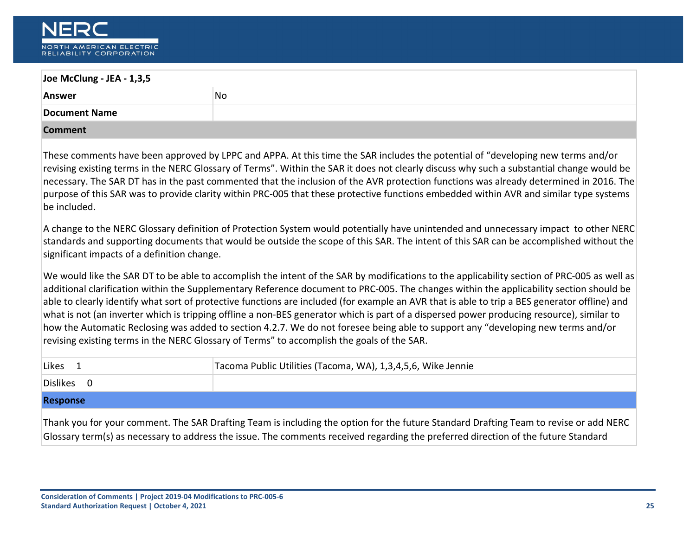

| Joe McClung - JEA - 1,3,5                   |                                                                                                                                                                                                                                                                                                                                                                                                                                                                                                                                                                                                                                                                                                                                                                                                                        |  |
|---------------------------------------------|------------------------------------------------------------------------------------------------------------------------------------------------------------------------------------------------------------------------------------------------------------------------------------------------------------------------------------------------------------------------------------------------------------------------------------------------------------------------------------------------------------------------------------------------------------------------------------------------------------------------------------------------------------------------------------------------------------------------------------------------------------------------------------------------------------------------|--|
| <b>Answer</b>                               | <b>No</b>                                                                                                                                                                                                                                                                                                                                                                                                                                                                                                                                                                                                                                                                                                                                                                                                              |  |
| <b>Document Name</b>                        |                                                                                                                                                                                                                                                                                                                                                                                                                                                                                                                                                                                                                                                                                                                                                                                                                        |  |
| <b>Comment</b>                              |                                                                                                                                                                                                                                                                                                                                                                                                                                                                                                                                                                                                                                                                                                                                                                                                                        |  |
| be included.                                | These comments have been approved by LPPC and APPA. At this time the SAR includes the potential of "developing new terms and/or<br>revising existing terms in the NERC Glossary of Terms". Within the SAR it does not clearly discuss why such a substantial change would be<br>necessary. The SAR DT has in the past commented that the inclusion of the AVR protection functions was already determined in 2016. The<br>purpose of this SAR was to provide clarity within PRC-005 that these protective functions embedded within AVR and similar type systems                                                                                                                                                                                                                                                       |  |
| significant impacts of a definition change. | A change to the NERC Glossary definition of Protection System would potentially have unintended and unnecessary impact to other NERC<br>standards and supporting documents that would be outside the scope of this SAR. The intent of this SAR can be accomplished without the                                                                                                                                                                                                                                                                                                                                                                                                                                                                                                                                         |  |
|                                             | We would like the SAR DT to be able to accomplish the intent of the SAR by modifications to the applicability section of PRC-005 as well as<br>additional clarification within the Supplementary Reference document to PRC-005. The changes within the applicability section should be<br>able to clearly identify what sort of protective functions are included (for example an AVR that is able to trip a BES generator offline) and<br>what is not (an inverter which is tripping offline a non-BES generator which is part of a dispersed power producing resource), similar to<br>how the Automatic Reclosing was added to section 4.2.7. We do not foresee being able to support any "developing new terms and/or<br>revising existing terms in the NERC Glossary of Terms" to accomplish the goals of the SAR. |  |
| Likes <sub>1</sub>                          | Tacoma Public Utilities (Tacoma, WA), 1,3,4,5,6, Wike Jennie                                                                                                                                                                                                                                                                                                                                                                                                                                                                                                                                                                                                                                                                                                                                                           |  |
| Dislikes 0                                  |                                                                                                                                                                                                                                                                                                                                                                                                                                                                                                                                                                                                                                                                                                                                                                                                                        |  |
| <b>Response</b>                             |                                                                                                                                                                                                                                                                                                                                                                                                                                                                                                                                                                                                                                                                                                                                                                                                                        |  |
|                                             | Thank you for your comment. The SAR Drafting Team is including the option for the future Standard Drafting Team to revise or add NERC<br>Glossary term(s) as necessary to address the issue. The comments received regarding the preferred direction of the future Standard                                                                                                                                                                                                                                                                                                                                                                                                                                                                                                                                            |  |
|                                             |                                                                                                                                                                                                                                                                                                                                                                                                                                                                                                                                                                                                                                                                                                                                                                                                                        |  |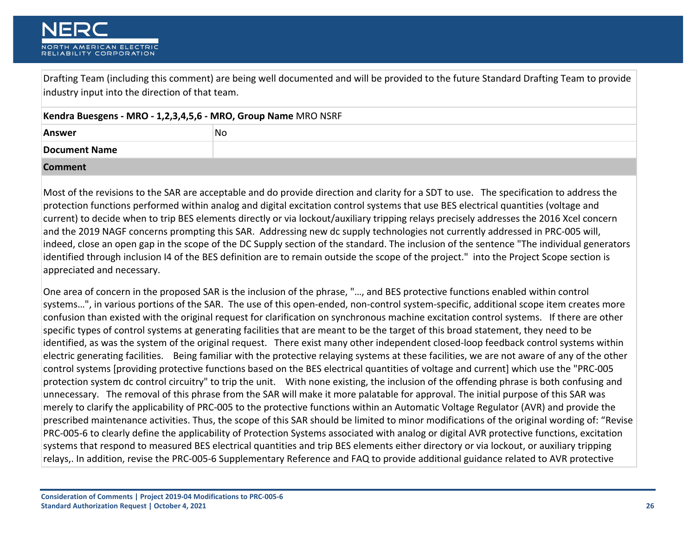Drafting Team (including this comment) are being well documented and will be provided to the future Standard Drafting Team to provide industry input into the direction of that team.

| Kendra Buesgens - MRO - 1,2,3,4,5,6 - MRO, Group Name MRO NSRF |    |
|----------------------------------------------------------------|----|
| <b>Answer</b>                                                  | No |
| Document Name                                                  |    |
| <b>Comment</b>                                                 |    |

Most of the revisions to the SAR are acceptable and do provide direction and clarity for a SDT to use. The specification to address the protection functions performed within analog and digital excitation control systems that use BES electrical quantities (voltage and current) to decide when to trip BES elements directly or via lockout/auxiliary tripping relays precisely addresses the 2016 Xcel concern and the 2019 NAGF concerns prompting this SAR. Addressing new dc supply technologies not currently addressed in PRC-005 will, indeed, close an open gap in the scope of the DC Supply section of the standard. The inclusion of the sentence "The individual generators identified through inclusion I4 of the BES definition are to remain outside the scope of the project." into the Project Scope section is appreciated and necessary.

One area of concern in the proposed SAR is the inclusion of the phrase, "…, and BES protective functions enabled within control systems…", in various portions of the SAR. The use of this open-ended, non-control system-specific, additional scope item creates more confusion than existed with the original request for clarification on synchronous machine excitation control systems. If there are other specific types of control systems at generating facilities that are meant to be the target of this broad statement, they need to be identified, as was the system of the original request. There exist many other independent closed-loop feedback control systems within electric generating facilities. Being familiar with the protective relaying systems at these facilities, we are not aware of any of the other control systems [providing protective functions based on the BES electrical quantities of voltage and current] which use the "PRC-005 protection system dc control circuitry" to trip the unit. With none existing, the inclusion of the offending phrase is both confusing and unnecessary. The removal of this phrase from the SAR will make it more palatable for approval. The initial purpose of this SAR was merely to clarify the applicability of PRC-005 to the protective functions within an Automatic Voltage Regulator (AVR) and provide the prescribed maintenance activities. Thus, the scope of this SAR should be limited to minor modifications of the original wording of: "Revise PRC-005-6 to clearly define the applicability of Protection Systems associated with analog or digital AVR protective functions, excitation systems that respond to measured BES electrical quantities and trip BES elements either directory or via lockout, or auxiliary tripping relays,. In addition, revise the PRC-005-6 Supplementary Reference and FAQ to provide additional guidance related to AVR protective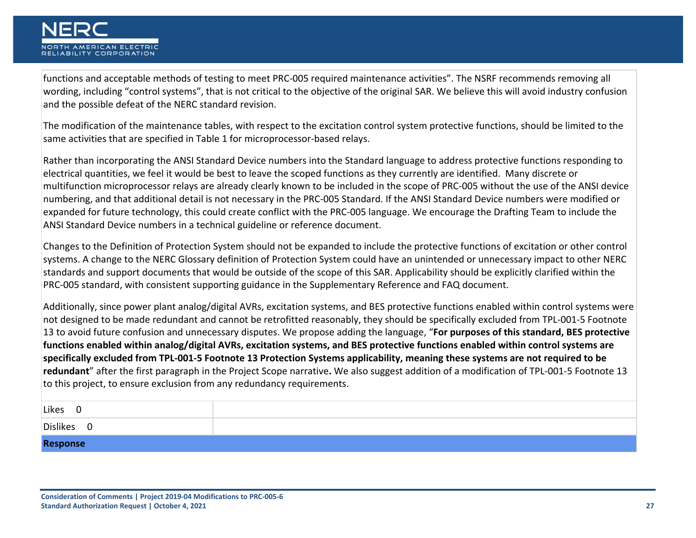

functions and acceptable methods of testing to meet PRC-005 required maintenance activities". The NSRF recommends removing all wording, including "control systems", that is not critical to the objective of the original SAR. We believe this will avoid industry confusion and the possible defeat of the NERC standard revision.

The modification of the maintenance tables, with respect to the excitation control system protective functions, should be limited to the same activities that are specified in Table 1 for microprocessor-based relays.

Rather than incorporating the ANSI Standard Device numbers into the Standard language to address protective functions responding to electrical quantities, we feel it would be best to leave the scoped functions as they currently are identified. Many discrete or multifunction microprocessor relays are already clearly known to be included in the scope of PRC-005 without the use of the ANSI device numbering, and that additional detail is not necessary in the PRC-005 Standard. If the ANSI Standard Device numbers were modified or expanded for future technology, this could create conflict with the PRC-005 language. We encourage the Drafting Team to include the ANSI Standard Device numbers in a technical guideline or reference document.

Changes to the Definition of Protection System should not be expanded to include the protective functions of excitation or other control systems. A change to the NERC Glossary definition of Protection System could have an unintended or unnecessary impact to other NERC standards and support documents that would be outside of the scope of this SAR. Applicability should be explicitly clarified within the PRC-005 standard, with consistent supporting guidance in the Supplementary Reference and FAQ document.

Additionally, since power plant analog/digital AVRs, excitation systems, and BES protective functions enabled within control systems were not designed to be made redundant and cannot be retrofitted reasonably, they should be specifically excluded from TPL-001-5 Footnote 13 to avoid future confusion and unnecessary disputes. We propose adding the language, "**For purposes of this standard, BES protective functions enabled within analog/digital AVRs, excitation systems, and BES protective functions enabled within control systems are specifically excluded from TPL-001-5 Footnote 13 Protection Systems applicability, meaning these systems are not required to be redundant**" after the first paragraph in the Project Scope narrative**.** We also suggest addition of a modification of TPL-001-5 Footnote 13 to this project, to ensure exclusion from any redundancy requirements.

| Likes<br>- U                        |  |
|-------------------------------------|--|
| Dislikes<br>$\overline{\mathbf{0}}$ |  |
| Response                            |  |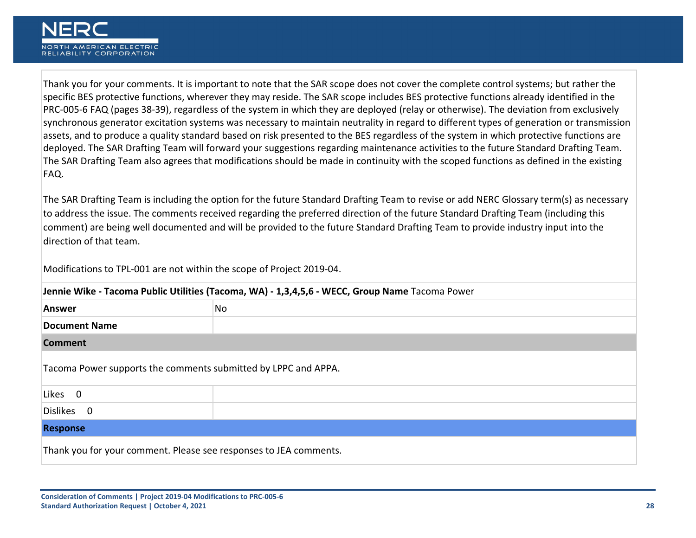Thank you for your comments. It is important to note that the SAR scope does not cover the complete control systems; but rather the specific BES protective functions, wherever they may reside. The SAR scope includes BES protective functions already identified in the PRC-005-6 FAQ (pages 38-39), regardless of the system in which they are deployed (relay or otherwise). The deviation from exclusively synchronous generator excitation systems was necessary to maintain neutrality in regard to different types of generation or transmission assets, and to produce a quality standard based on risk presented to the BES regardless of the system in which protective functions are deployed. The SAR Drafting Team will forward your suggestions regarding maintenance activities to the future Standard Drafting Team. The SAR Drafting Team also agrees that modifications should be made in continuity with the scoped functions as defined in the existing FAQ.

The SAR Drafting Team is including the option for the future Standard Drafting Team to revise or add NERC Glossary term(s) as necessary to address the issue. The comments received regarding the preferred direction of the future Standard Drafting Team (including this comment) are being well documented and will be provided to the future Standard Drafting Team to provide industry input into the direction of that team.

Modifications to TPL-001 are not within the scope of Project 2019-04.

| Jennie Wike - Tacoma Public Utilities (Tacoma, WA) - 1,3,4,5,6 - WECC, Group Name Tacoma Power |    |
|------------------------------------------------------------------------------------------------|----|
| <b>Answer</b>                                                                                  | No |
| <b>Document Name</b>                                                                           |    |
| <b>Comment</b>                                                                                 |    |
| Tacoma Power supports the comments submitted by LPPC and APPA.                                 |    |
| Likes 0                                                                                        |    |
| Dislikes 0                                                                                     |    |
| <b>Response</b>                                                                                |    |
| Thank you for your comment. Please see responses to JEA comments.                              |    |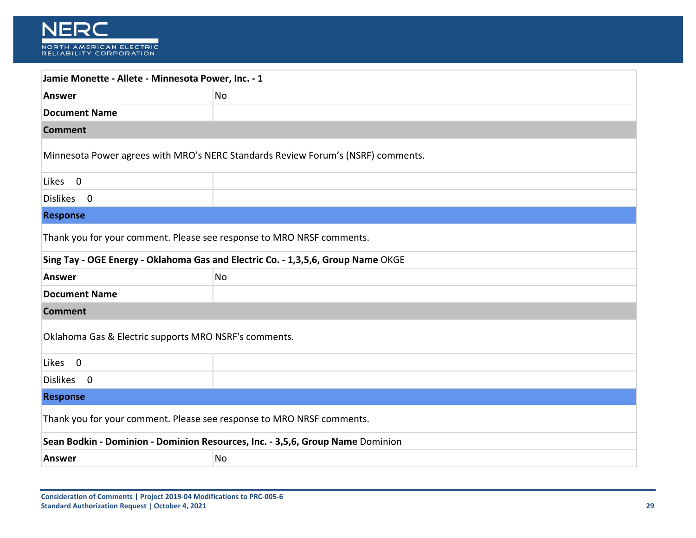| Jamie Monette - Allete - Minnesota Power, Inc. - 1                               |                                                                                  |
|----------------------------------------------------------------------------------|----------------------------------------------------------------------------------|
| <b>Answer</b>                                                                    | No                                                                               |
| <b>Document Name</b>                                                             |                                                                                  |
| <b>Comment</b>                                                                   |                                                                                  |
|                                                                                  | Minnesota Power agrees with MRO's NERC Standards Review Forum's (NSRF) comments. |
| Likes 0                                                                          |                                                                                  |
| Dislikes 0                                                                       |                                                                                  |
| <b>Response</b>                                                                  |                                                                                  |
| Thank you for your comment. Please see response to MRO NRSF comments.            |                                                                                  |
| Sing Tay - OGE Energy - Oklahoma Gas and Electric Co. - 1,3,5,6, Group Name OKGE |                                                                                  |
| <b>Answer</b>                                                                    | No                                                                               |
| <b>Document Name</b>                                                             |                                                                                  |
| <b>Comment</b>                                                                   |                                                                                  |
| Oklahoma Gas & Electric supports MRO NSRF's comments.                            |                                                                                  |
| Likes 0                                                                          |                                                                                  |
| Dislikes 0                                                                       |                                                                                  |
| <b>Response</b>                                                                  |                                                                                  |
| Thank you for your comment. Please see response to MRO NRSF comments.            |                                                                                  |
| Sean Bodkin - Dominion - Dominion Resources, Inc. - 3,5,6, Group Name Dominion   |                                                                                  |
| <b>Answer</b>                                                                    | No                                                                               |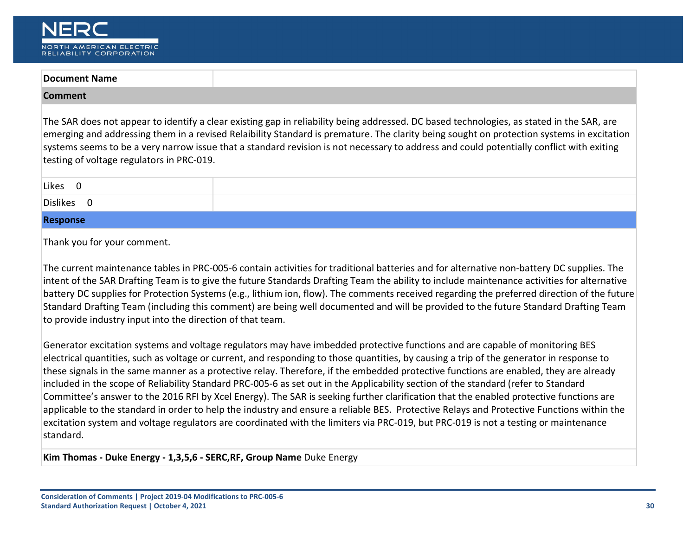

| The SAR does not appear to identify a clear existing gap in reliability being addressed. DC based technologies, as stated in the SAR, are<br>emerging and addressing them in a revised Relaibility Standard is premature. The clarity being sought on protection systems in excitation<br>systems seems to be a very narrow issue that a standard revision is not necessary to address and could potentially conflict with exiting<br>testing of voltage regulators in PRC-019. |
|---------------------------------------------------------------------------------------------------------------------------------------------------------------------------------------------------------------------------------------------------------------------------------------------------------------------------------------------------------------------------------------------------------------------------------------------------------------------------------|
|                                                                                                                                                                                                                                                                                                                                                                                                                                                                                 |
|                                                                                                                                                                                                                                                                                                                                                                                                                                                                                 |
|                                                                                                                                                                                                                                                                                                                                                                                                                                                                                 |

#### **Response**

Thank you for your comment.

The current maintenance tables in PRC-005-6 contain activities for traditional batteries and for alternative non-battery DC supplies. The intent of the SAR Drafting Team is to give the future Standards Drafting Team the ability to include maintenance activities for alternative battery DC supplies for Protection Systems (e.g., lithium ion, flow). The comments received regarding the preferred direction of the future Standard Drafting Team (including this comment) are being well documented and will be provided to the future Standard Drafting Team to provide industry input into the direction of that team.

Generator excitation systems and voltage regulators may have imbedded protective functions and are capable of monitoring BES electrical quantities, such as voltage or current, and responding to those quantities, by causing a trip of the generator in response to these signals in the same manner as a protective relay. Therefore, if the embedded protective functions are enabled, they are already included in the scope of Reliability Standard PRC-005-6 as set out in the Applicability section of the standard (refer to Standard Committee's answer to the 2016 RFI by Xcel Energy). The SAR is seeking further clarification that the enabled protective functions are applicable to the standard in order to help the industry and ensure a reliable BES. Protective Relays and Protective Functions within the excitation system and voltage regulators are coordinated with the limiters via PRC-019, but PRC-019 is not a testing or maintenance standard.

**Kim Thomas - Duke Energy - 1,3,5,6 - SERC,RF, Group Name** Duke Energy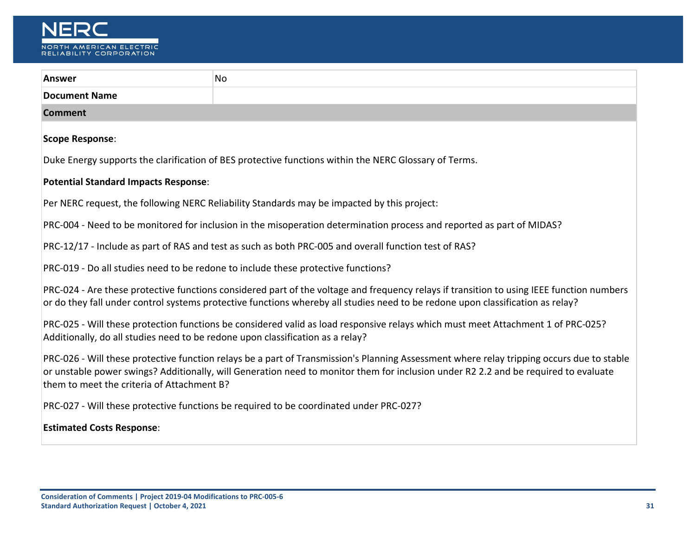

| <b>Answer</b>                                                                                                                                                                                                                                                                                                                  | No                                                                                                    |  |
|--------------------------------------------------------------------------------------------------------------------------------------------------------------------------------------------------------------------------------------------------------------------------------------------------------------------------------|-------------------------------------------------------------------------------------------------------|--|
| <b>Document Name</b>                                                                                                                                                                                                                                                                                                           |                                                                                                       |  |
| <b>Comment</b>                                                                                                                                                                                                                                                                                                                 |                                                                                                       |  |
| <b>Scope Response:</b>                                                                                                                                                                                                                                                                                                         |                                                                                                       |  |
|                                                                                                                                                                                                                                                                                                                                | Duke Energy supports the clarification of BES protective functions within the NERC Glossary of Terms. |  |
| <b>Potential Standard Impacts Response:</b>                                                                                                                                                                                                                                                                                    |                                                                                                       |  |
|                                                                                                                                                                                                                                                                                                                                | Per NERC request, the following NERC Reliability Standards may be impacted by this project:           |  |
| PRC-004 - Need to be monitored for inclusion in the misoperation determination process and reported as part of MIDAS?                                                                                                                                                                                                          |                                                                                                       |  |
| PRC-12/17 - Include as part of RAS and test as such as both PRC-005 and overall function test of RAS?                                                                                                                                                                                                                          |                                                                                                       |  |
| PRC-019 - Do all studies need to be redone to include these protective functions?                                                                                                                                                                                                                                              |                                                                                                       |  |
| PRC-024 - Are these protective functions considered part of the voltage and frequency relays if transition to using IEEE function numbers<br>or do they fall under control systems protective functions whereby all studies need to be redone upon classification as relay?                                                    |                                                                                                       |  |
| PRC-025 - Will these protection functions be considered valid as load responsive relays which must meet Attachment 1 of PRC-025?<br>Additionally, do all studies need to be redone upon classification as a relay?                                                                                                             |                                                                                                       |  |
| PRC-026 - Will these protective function relays be a part of Transmission's Planning Assessment where relay tripping occurs due to stable<br>or unstable power swings? Additionally, will Generation need to monitor them for inclusion under R2 2.2 and be required to evaluate<br>them to meet the criteria of Attachment B? |                                                                                                       |  |
| PRC-027 - Will these protective functions be required to be coordinated under PRC-027?                                                                                                                                                                                                                                         |                                                                                                       |  |
| <b>Estimated Costs Response:</b>                                                                                                                                                                                                                                                                                               |                                                                                                       |  |
|                                                                                                                                                                                                                                                                                                                                |                                                                                                       |  |
|                                                                                                                                                                                                                                                                                                                                |                                                                                                       |  |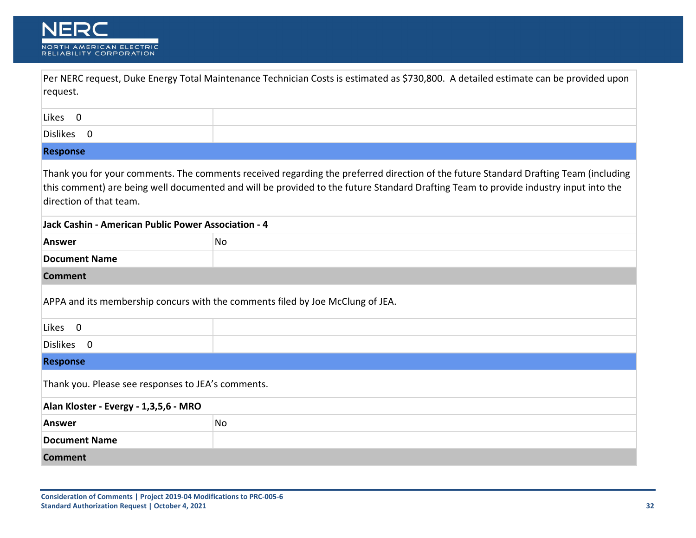

| request.                                            | Per NERC request, Duke Energy Total Maintenance Technician Costs is estimated as \$730,800. A detailed estimate can be provided upon                                                                                                                                         |
|-----------------------------------------------------|------------------------------------------------------------------------------------------------------------------------------------------------------------------------------------------------------------------------------------------------------------------------------|
| Likes 0                                             |                                                                                                                                                                                                                                                                              |
| Dislikes 0                                          |                                                                                                                                                                                                                                                                              |
| <b>Response</b>                                     |                                                                                                                                                                                                                                                                              |
| direction of that team.                             | Thank you for your comments. The comments received regarding the preferred direction of the future Standard Drafting Team (including<br>this comment) are being well documented and will be provided to the future Standard Drafting Team to provide industry input into the |
| Jack Cashin - American Public Power Association - 4 |                                                                                                                                                                                                                                                                              |
| <b>Answer</b>                                       | No                                                                                                                                                                                                                                                                           |
| <b>Document Name</b>                                |                                                                                                                                                                                                                                                                              |
| <b>Comment</b>                                      |                                                                                                                                                                                                                                                                              |
|                                                     | APPA and its membership concurs with the comments filed by Joe McClung of JEA.                                                                                                                                                                                               |
| Likes 0                                             |                                                                                                                                                                                                                                                                              |
| Dislikes 0                                          |                                                                                                                                                                                                                                                                              |
| <b>Response</b>                                     |                                                                                                                                                                                                                                                                              |
| Thank you. Please see responses to JEA's comments.  |                                                                                                                                                                                                                                                                              |
| Alan Kloster - Evergy - 1,3,5,6 - MRO               |                                                                                                                                                                                                                                                                              |
| <b>Answer</b>                                       | No                                                                                                                                                                                                                                                                           |
| <b>Document Name</b>                                |                                                                                                                                                                                                                                                                              |
| <b>Comment</b>                                      |                                                                                                                                                                                                                                                                              |

٦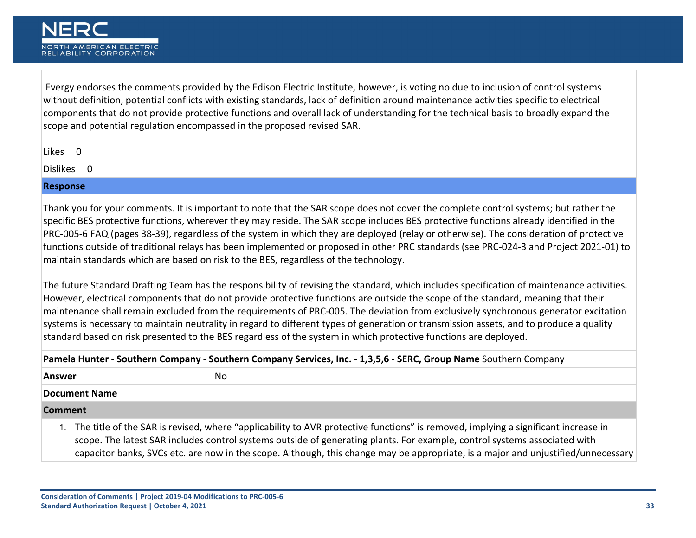Evergy endorses the comments provided by the Edison Electric Institute, however, is voting no due to inclusion of control systems without definition, potential conflicts with existing standards, lack of definition around maintenance activities specific to electrical components that do not provide protective functions and overall lack of understanding for the technical basis to broadly expand the scope and potential regulation encompassed in the proposed revised SAR.

| Likes<br>л. |  |
|-------------|--|
| Dislikes    |  |

#### **Response**

Thank you for your comments. It is important to note that the SAR scope does not cover the complete control systems; but rather the specific BES protective functions, wherever they may reside. The SAR scope includes BES protective functions already identified in the PRC-005-6 FAQ (pages 38-39), regardless of the system in which they are deployed (relay or otherwise). The consideration of protective functions outside of traditional relays has been implemented or proposed in other PRC standards (see PRC-024-3 and Project 2021-01) to maintain standards which are based on risk to the BES, regardless of the technology.

The future Standard Drafting Team has the responsibility of revising the standard, which includes specification of maintenance activities. However, electrical components that do not provide protective functions are outside the scope of the standard, meaning that their maintenance shall remain excluded from the requirements of PRC-005. The deviation from exclusively synchronous generator excitation systems is necessary to maintain neutrality in regard to different types of generation or transmission assets, and to produce a quality standard based on risk presented to the BES regardless of the system in which protective functions are deployed.

| Pamela Hunter - Southern Company - Southern Company Services, Inc. - 1,3,5,6 - SERC, Group Name Southern Company                                                                                                               |    |
|--------------------------------------------------------------------------------------------------------------------------------------------------------------------------------------------------------------------------------|----|
| <b>Answer</b>                                                                                                                                                                                                                  | No |
| Document Name                                                                                                                                                                                                                  |    |
| Comment of the Comment of the Comment of the Comment of the Comment of the Comment of the Comment of the Comment of the Comment of the Comment of the Comment of the Comment of the Comment of the Comment of the Comment of t |    |

#### **Comment**

1. The title of the SAR is revised, where "applicability to AVR protective functions" is removed, implying a significant increase in scope. The latest SAR includes control systems outside of generating plants. For example, control systems associated with capacitor banks, SVCs etc. are now in the scope. Although, this change may be appropriate, is a major and unjustified/unnecessary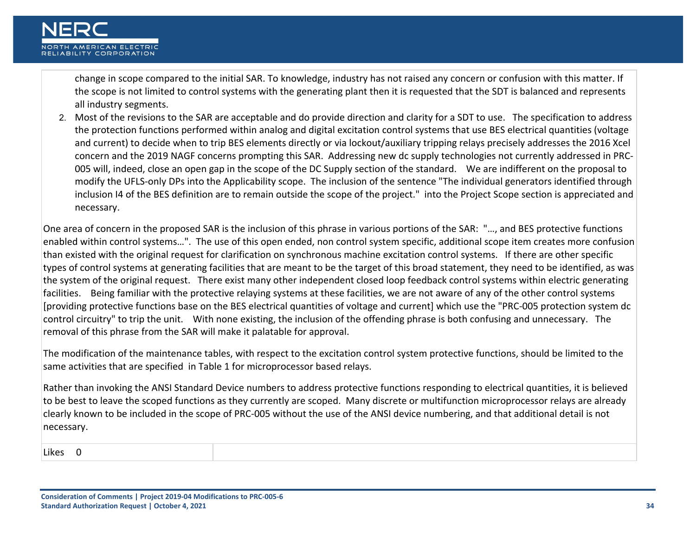change in scope compared to the initial SAR. To knowledge, industry has not raised any concern or confusion with this matter. If the scope is not limited to control systems with the generating plant then it is requested that the SDT is balanced and represents all industry segments.

2. Most of the revisions to the SAR are acceptable and do provide direction and clarity for a SDT to use. The specification to address the protection functions performed within analog and digital excitation control systems that use BES electrical quantities (voltage and current) to decide when to trip BES elements directly or via lockout/auxiliary tripping relays precisely addresses the 2016 Xcel concern and the 2019 NAGF concerns prompting this SAR. Addressing new dc supply technologies not currently addressed in PRC-005 will, indeed, close an open gap in the scope of the DC Supply section of the standard. We are indifferent on the proposal to modify the UFLS-only DPs into the Applicability scope. The inclusion of the sentence "The individual generators identified through inclusion I4 of the BES definition are to remain outside the scope of the project." into the Project Scope section is appreciated and necessary.

One area of concern in the proposed SAR is the inclusion of this phrase in various portions of the SAR: "…, and BES protective functions enabled within control systems…". The use of this open ended, non control system specific, additional scope item creates more confusion than existed with the original request for clarification on synchronous machine excitation control systems. If there are other specific types of control systems at generating facilities that are meant to be the target of this broad statement, they need to be identified, as was the system of the original request. There exist many other independent closed loop feedback control systems within electric generating facilities. Being familiar with the protective relaying systems at these facilities, we are not aware of any of the other control systems [providing protective functions base on the BES electrical quantities of voltage and current] which use the "PRC-005 protection system dc control circuitry" to trip the unit. With none existing, the inclusion of the offending phrase is both confusing and unnecessary. The removal of this phrase from the SAR will make it palatable for approval.

The modification of the maintenance tables, with respect to the excitation control system protective functions, should be limited to the same activities that are specified in Table 1 for microprocessor based relays.

Rather than invoking the ANSI Standard Device numbers to address protective functions responding to electrical quantities, it is believed to be best to leave the scoped functions as they currently are scoped. Many discrete or multifunction microprocessor relays are already clearly known to be included in the scope of PRC-005 without the use of the ANSI device numbering, and that additional detail is not necessary.

Likes 0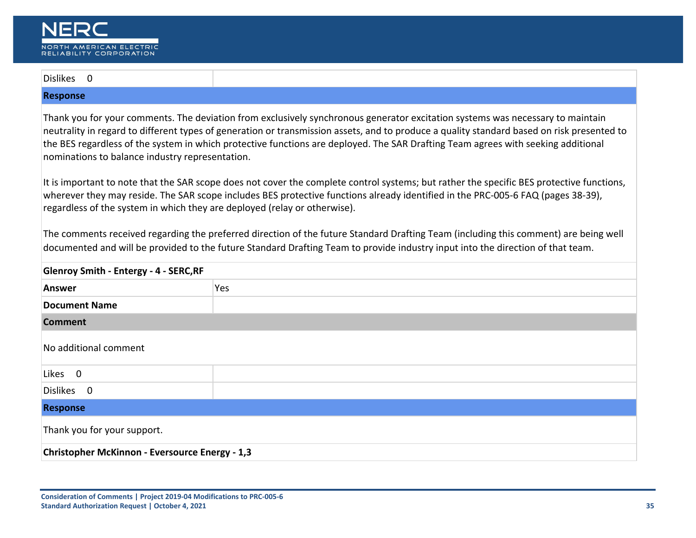| Dislikes 0                                                                                                                                                                                                                                                                                                                                                                                                                                                           |     |  |
|----------------------------------------------------------------------------------------------------------------------------------------------------------------------------------------------------------------------------------------------------------------------------------------------------------------------------------------------------------------------------------------------------------------------------------------------------------------------|-----|--|
| <b>Response</b>                                                                                                                                                                                                                                                                                                                                                                                                                                                      |     |  |
| Thank you for your comments. The deviation from exclusively synchronous generator excitation systems was necessary to maintain<br>neutrality in regard to different types of generation or transmission assets, and to produce a quality standard based on risk presented to<br>the BES regardless of the system in which protective functions are deployed. The SAR Drafting Team agrees with seeking additional<br>nominations to balance industry representation. |     |  |
| It is important to note that the SAR scope does not cover the complete control systems; but rather the specific BES protective functions,<br>wherever they may reside. The SAR scope includes BES protective functions already identified in the PRC-005-6 FAQ (pages 38-39),<br>regardless of the system in which they are deployed (relay or otherwise).                                                                                                           |     |  |
| The comments received regarding the preferred direction of the future Standard Drafting Team (including this comment) are being well<br>documented and will be provided to the future Standard Drafting Team to provide industry input into the direction of that team.                                                                                                                                                                                              |     |  |
| <b>Glenroy Smith - Entergy - 4 - SERC, RF</b>                                                                                                                                                                                                                                                                                                                                                                                                                        |     |  |
| <b>Answer</b>                                                                                                                                                                                                                                                                                                                                                                                                                                                        | Yes |  |
| <b>Document Name</b>                                                                                                                                                                                                                                                                                                                                                                                                                                                 |     |  |
| <b>Comment</b>                                                                                                                                                                                                                                                                                                                                                                                                                                                       |     |  |
| No additional comment                                                                                                                                                                                                                                                                                                                                                                                                                                                |     |  |
| Likes 0                                                                                                                                                                                                                                                                                                                                                                                                                                                              |     |  |
| Dislikes 0                                                                                                                                                                                                                                                                                                                                                                                                                                                           |     |  |
| <b>Response</b>                                                                                                                                                                                                                                                                                                                                                                                                                                                      |     |  |
| Thank you for your support.                                                                                                                                                                                                                                                                                                                                                                                                                                          |     |  |
| Christopher McKinnon - Eversource Energy - 1,3                                                                                                                                                                                                                                                                                                                                                                                                                       |     |  |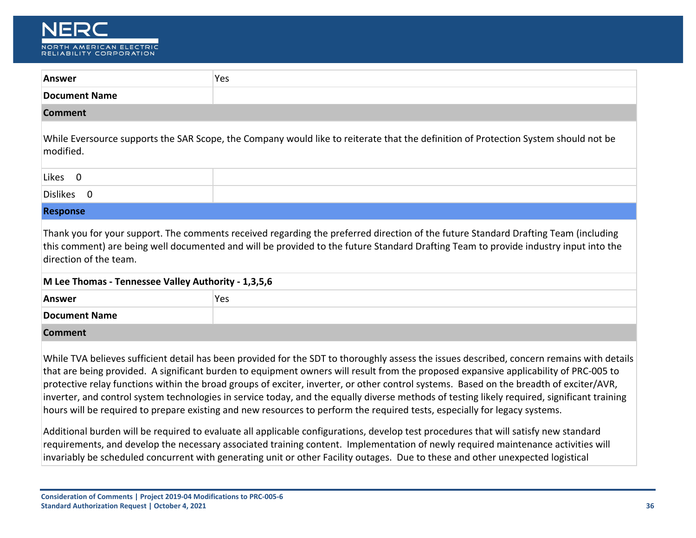

| <b>Answer</b>                                                                 | Yes                                                                                                                                                                                                                                                                                                                                                                                                                                                                                                                                                                                                                                                                                                                                                                                                                                                  |
|-------------------------------------------------------------------------------|------------------------------------------------------------------------------------------------------------------------------------------------------------------------------------------------------------------------------------------------------------------------------------------------------------------------------------------------------------------------------------------------------------------------------------------------------------------------------------------------------------------------------------------------------------------------------------------------------------------------------------------------------------------------------------------------------------------------------------------------------------------------------------------------------------------------------------------------------|
| <b>Document Name</b>                                                          |                                                                                                                                                                                                                                                                                                                                                                                                                                                                                                                                                                                                                                                                                                                                                                                                                                                      |
| <b>Comment</b>                                                                |                                                                                                                                                                                                                                                                                                                                                                                                                                                                                                                                                                                                                                                                                                                                                                                                                                                      |
| modified.                                                                     | While Eversource supports the SAR Scope, the Company would like to reiterate that the definition of Protection System should not be                                                                                                                                                                                                                                                                                                                                                                                                                                                                                                                                                                                                                                                                                                                  |
| Likes 0                                                                       |                                                                                                                                                                                                                                                                                                                                                                                                                                                                                                                                                                                                                                                                                                                                                                                                                                                      |
| Dislikes 0                                                                    |                                                                                                                                                                                                                                                                                                                                                                                                                                                                                                                                                                                                                                                                                                                                                                                                                                                      |
| <b>Response</b>                                                               |                                                                                                                                                                                                                                                                                                                                                                                                                                                                                                                                                                                                                                                                                                                                                                                                                                                      |
| direction of the team.<br>M Lee Thomas - Tennessee Valley Authority - 1,3,5,6 | Thank you for your support. The comments received regarding the preferred direction of the future Standard Drafting Team (including<br>this comment) are being well documented and will be provided to the future Standard Drafting Team to provide industry input into the                                                                                                                                                                                                                                                                                                                                                                                                                                                                                                                                                                          |
| <b>Answer</b>                                                                 | Yes                                                                                                                                                                                                                                                                                                                                                                                                                                                                                                                                                                                                                                                                                                                                                                                                                                                  |
| <b>Document Name</b>                                                          |                                                                                                                                                                                                                                                                                                                                                                                                                                                                                                                                                                                                                                                                                                                                                                                                                                                      |
| <b>Comment</b>                                                                |                                                                                                                                                                                                                                                                                                                                                                                                                                                                                                                                                                                                                                                                                                                                                                                                                                                      |
|                                                                               | While TVA believes sufficient detail has been provided for the SDT to thoroughly assess the issues described, concern remains with details<br>that are being provided. A significant burden to equipment owners will result from the proposed expansive applicability of PRC-005 to<br>protective relay functions within the broad groups of exciter, inverter, or other control systems. Based on the breadth of exciter/AVR,<br>inverter, and control system technologies in service today, and the equally diverse methods of testing likely required, significant training<br>hours will be required to prepare existing and new resources to perform the required tests, especially for legacy systems.<br>Additional burden will be required to evaluate all applicable configurations, develop test procedures that will satisfy new standard |

requirements, and develop the necessary associated training content. Implementation of newly required maintenance activities will invariably be scheduled concurrent with generating unit or other Facility outages. Due to these and other unexpected logistical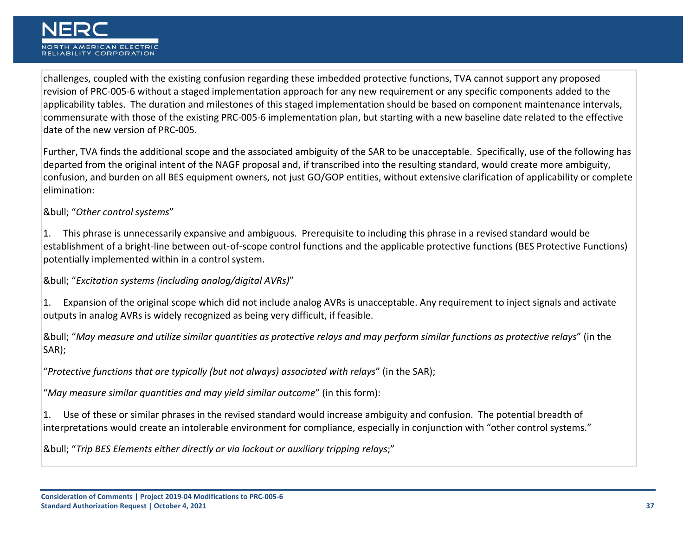challenges, coupled with the existing confusion regarding these imbedded protective functions, TVA cannot support any proposed revision of PRC-005-6 without a staged implementation approach for any new requirement or any specific components added to the applicability tables. The duration and milestones of this staged implementation should be based on component maintenance intervals, commensurate with those of the existing PRC-005-6 implementation plan, but starting with a new baseline date related to the effective date of the new version of PRC-005.

Further, TVA finds the additional scope and the associated ambiguity of the SAR to be unacceptable. Specifically, use of the following has departed from the original intent of the NAGF proposal and, if transcribed into the resulting standard, would create more ambiguity, confusion, and burden on all BES equipment owners, not just GO/GOP entities, without extensive clarification of applicability or complete elimination:

• "*Other control systems*"

1. This phrase is unnecessarily expansive and ambiguous. Prerequisite to including this phrase in a revised standard would be establishment of a bright-line between out‑of‑scope control functions and the applicable protective functions (BES Protective Functions) potentially implemented within in a control system.

• "*Excitation systems (including analog/digital AVRs)*"

1. Expansion of the original scope which did not include analog AVRs is unacceptable. Any requirement to inject signals and activate outputs in analog AVRs is widely recognized as being very difficult, if feasible.

• "*May measure and utilize similar quantities as protective relays and may perform similar functions as protective relays*" (in the SAR);

"*Protective functions that are typically (but not always) associated with relays*" (in the SAR);

"*May measure similar quantities and may yield similar outcome*" (in this form):

1. Use of these or similar phrases in the revised standard would increase ambiguity and confusion. The potential breadth of interpretations would create an intolerable environment for compliance, especially in conjunction with "other control systems."

• "*Trip BES Elements either directly or via lockout or auxiliary tripping relays*;"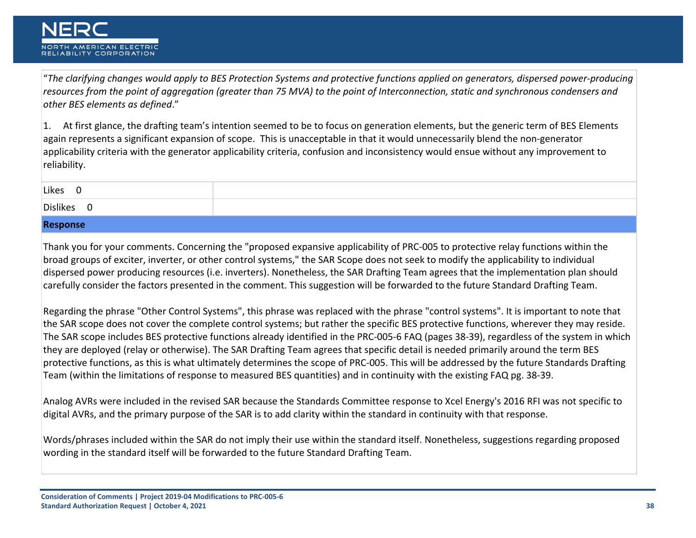"*The clarifying changes would apply to BES Protection Systems and protective functions applied on generators, dispersed power-producing resources from the point of aggregation (greater than 75 MVA) to the point of Interconnection, static and synchronous condensers and other BES elements as defined*."

1. At first glance, the drafting team's intention seemed to be to focus on generation elements, but the generic term of BES Elements again represents a significant expansion of scope. This is unacceptable in that it would unnecessarily blend the non-generator applicability criteria with the generator applicability criteria, confusion and inconsistency would ensue without any improvement to reliability.

| <b>Dislikes</b><br>__ |  |
|-----------------------|--|

## **Response**

Thank you for your comments. Concerning the "proposed expansive applicability of PRC-005 to protective relay functions within the broad groups of exciter, inverter, or other control systems," the SAR Scope does not seek to modify the applicability to individual dispersed power producing resources (i.e. inverters). Nonetheless, the SAR Drafting Team agrees that the implementation plan should carefully consider the factors presented in the comment. This suggestion will be forwarded to the future Standard Drafting Team.

Regarding the phrase "Other Control Systems", this phrase was replaced with the phrase "control systems". It is important to note that the SAR scope does not cover the complete control systems; but rather the specific BES protective functions, wherever they may reside. The SAR scope includes BES protective functions already identified in the PRC-005-6 FAQ (pages 38-39), regardless of the system in which they are deployed (relay or otherwise). The SAR Drafting Team agrees that specific detail is needed primarily around the term BES protective functions, as this is what ultimately determines the scope of PRC-005. This will be addressed by the future Standards Drafting Team (within the limitations of response to measured BES quantities) and in continuity with the existing FAQ pg. 38-39.

Analog AVRs were included in the revised SAR because the Standards Committee response to Xcel Energy's 2016 RFI was not specific to digital AVRs, and the primary purpose of the SAR is to add clarity within the standard in continuity with that response.

Words/phrases included within the SAR do not imply their use within the standard itself. Nonetheless, suggestions regarding proposed wording in the standard itself will be forwarded to the future Standard Drafting Team.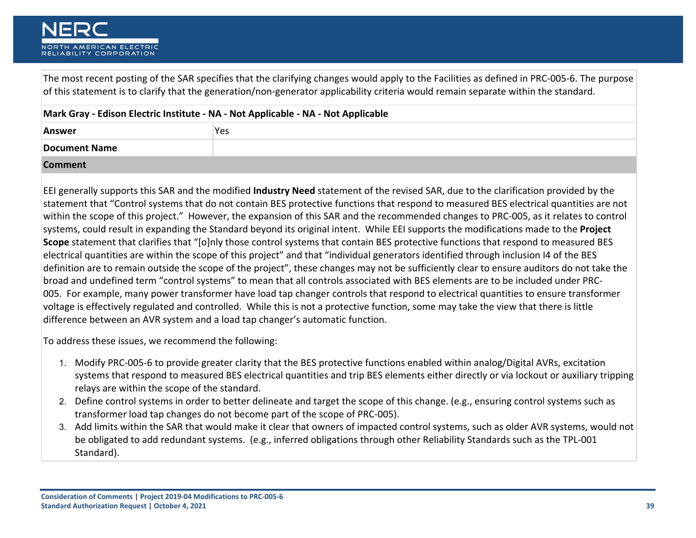The most recent posting of the SAR specifies that the clarifying changes would apply to the Facilities as defined in PRC-005-6. The purpose of this statement is to clarify that the generation/non-generator applicability criteria would remain separate within the standard.

| Mark Gray - Edison Electric Institute - NA - Not Applicable - NA - Not Applicable |     |
|-----------------------------------------------------------------------------------|-----|
| <b>Answer</b>                                                                     | Yes |
| <b>Document Name</b>                                                              |     |
| <b>Comment</b>                                                                    |     |

EEI generally supports this SAR and the modified **Industry Need** statement of the revised SAR, due to the clarification provided by the statement that "Control systems that do not contain BES protective functions that respond to measured BES electrical quantities are not within the scope of this project." However, the expansion of this SAR and the recommended changes to PRC-005, as it relates to control systems, could result in expanding the Standard beyond its original intent. While EEI supports the modifications made to the **Project Scope** statement that clarifies that "[o]nly those control systems that contain BES protective functions that respond to measured BES electrical quantities are within the scope of this project" and that "individual generators identified through inclusion I4 of the BES definition are to remain outside the scope of the project", these changes may not be sufficiently clear to ensure auditors do not take the broad and undefined term "control systems" to mean that all controls associated with BES elements are to be included under PRC-005. For example, many power transformer have load tap changer controls that respond to electrical quantities to ensure transformer voltage is effectively regulated and controlled. While this is not a protective function, some may take the view that there is little difference between an AVR system and a load tap changer's automatic function.

To address these issues, we recommend the following:

- 1. Modify PRC-005-6 to provide greater clarity that the BES protective functions enabled within analog/Digital AVRs, excitation systems that respond to measured BES electrical quantities and trip BES elements either directly or via lockout or auxiliary tripping relays are within the scope of the standard.
- 2. Define control systems in order to better delineate and target the scope of this change. (e.g., ensuring control systems such as transformer load tap changes do not become part of the scope of PRC-005).
- 3. Add limits within the SAR that would make it clear that owners of impacted control systems, such as older AVR systems, would not be obligated to add redundant systems. (e.g., inferred obligations through other Reliability Standards such as the TPL-001 Standard).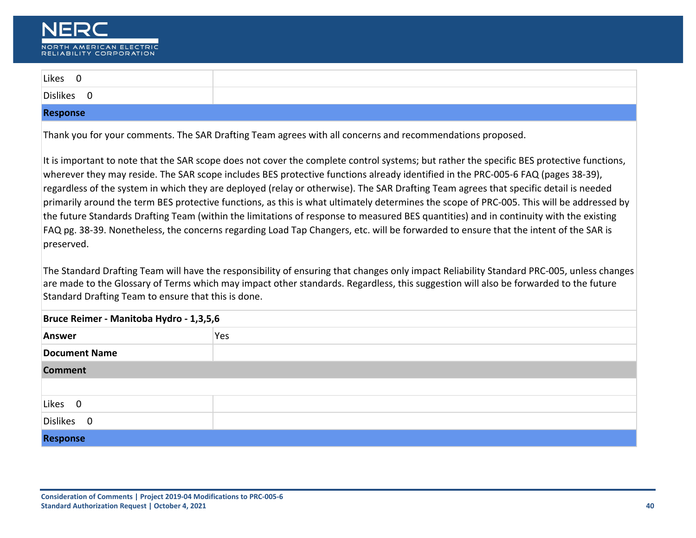

| Likes 0                                                                                                                                                                                                                                                                                                                                                                                                                                                                                                                                                                                                                                                                                                                                                                                                                                                                                                                                                                                                                                                                                                                                                                                                         |                                                                                                           |
|-----------------------------------------------------------------------------------------------------------------------------------------------------------------------------------------------------------------------------------------------------------------------------------------------------------------------------------------------------------------------------------------------------------------------------------------------------------------------------------------------------------------------------------------------------------------------------------------------------------------------------------------------------------------------------------------------------------------------------------------------------------------------------------------------------------------------------------------------------------------------------------------------------------------------------------------------------------------------------------------------------------------------------------------------------------------------------------------------------------------------------------------------------------------------------------------------------------------|-----------------------------------------------------------------------------------------------------------|
| Dislikes 0                                                                                                                                                                                                                                                                                                                                                                                                                                                                                                                                                                                                                                                                                                                                                                                                                                                                                                                                                                                                                                                                                                                                                                                                      |                                                                                                           |
| <b>Response</b>                                                                                                                                                                                                                                                                                                                                                                                                                                                                                                                                                                                                                                                                                                                                                                                                                                                                                                                                                                                                                                                                                                                                                                                                 |                                                                                                           |
|                                                                                                                                                                                                                                                                                                                                                                                                                                                                                                                                                                                                                                                                                                                                                                                                                                                                                                                                                                                                                                                                                                                                                                                                                 | Thank you for your comments. The SAR Drafting Team agrees with all concerns and recommendations proposed. |
| It is important to note that the SAR scope does not cover the complete control systems; but rather the specific BES protective functions,<br>wherever they may reside. The SAR scope includes BES protective functions already identified in the PRC-005-6 FAQ (pages 38-39),<br>regardless of the system in which they are deployed (relay or otherwise). The SAR Drafting Team agrees that specific detail is needed<br>primarily around the term BES protective functions, as this is what ultimately determines the scope of PRC-005. This will be addressed by<br>the future Standards Drafting Team (within the limitations of response to measured BES quantities) and in continuity with the existing<br>FAQ pg. 38-39. Nonetheless, the concerns regarding Load Tap Changers, etc. will be forwarded to ensure that the intent of the SAR is<br>preserved.<br>The Standard Drafting Team will have the responsibility of ensuring that changes only impact Reliability Standard PRC-005, unless changes<br>are made to the Glossary of Terms which may impact other standards. Regardless, this suggestion will also be forwarded to the future<br>Standard Drafting Team to ensure that this is done. |                                                                                                           |
| Bruce Reimer - Manitoba Hydro - 1,3,5,6                                                                                                                                                                                                                                                                                                                                                                                                                                                                                                                                                                                                                                                                                                                                                                                                                                                                                                                                                                                                                                                                                                                                                                         |                                                                                                           |
| Answer                                                                                                                                                                                                                                                                                                                                                                                                                                                                                                                                                                                                                                                                                                                                                                                                                                                                                                                                                                                                                                                                                                                                                                                                          | Yes                                                                                                       |
| <b>Document Name</b>                                                                                                                                                                                                                                                                                                                                                                                                                                                                                                                                                                                                                                                                                                                                                                                                                                                                                                                                                                                                                                                                                                                                                                                            |                                                                                                           |
| <b>Comment</b>                                                                                                                                                                                                                                                                                                                                                                                                                                                                                                                                                                                                                                                                                                                                                                                                                                                                                                                                                                                                                                                                                                                                                                                                  |                                                                                                           |
|                                                                                                                                                                                                                                                                                                                                                                                                                                                                                                                                                                                                                                                                                                                                                                                                                                                                                                                                                                                                                                                                                                                                                                                                                 |                                                                                                           |
| Likes 0                                                                                                                                                                                                                                                                                                                                                                                                                                                                                                                                                                                                                                                                                                                                                                                                                                                                                                                                                                                                                                                                                                                                                                                                         |                                                                                                           |
| Dislikes 0                                                                                                                                                                                                                                                                                                                                                                                                                                                                                                                                                                                                                                                                                                                                                                                                                                                                                                                                                                                                                                                                                                                                                                                                      |                                                                                                           |
| <b>Response</b>                                                                                                                                                                                                                                                                                                                                                                                                                                                                                                                                                                                                                                                                                                                                                                                                                                                                                                                                                                                                                                                                                                                                                                                                 |                                                                                                           |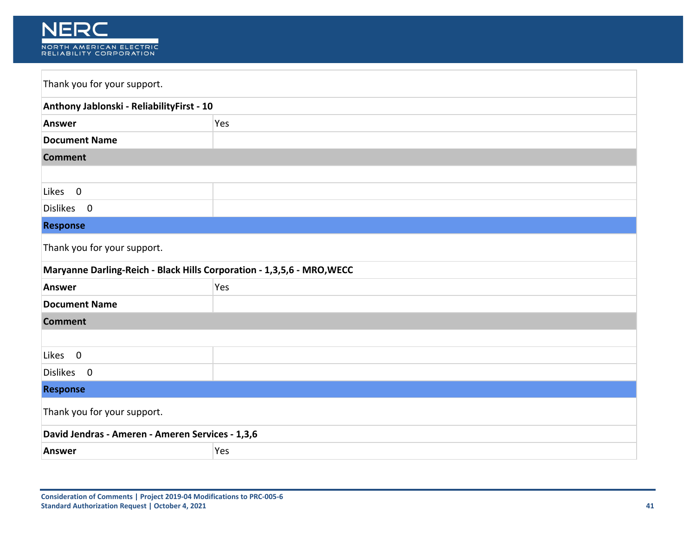

| Thank you for your support.                                            |     |  |
|------------------------------------------------------------------------|-----|--|
| Anthony Jablonski - ReliabilityFirst - 10                              |     |  |
| <b>Answer</b>                                                          | Yes |  |
| <b>Document Name</b>                                                   |     |  |
| <b>Comment</b>                                                         |     |  |
|                                                                        |     |  |
| Likes 0                                                                |     |  |
| Dislikes 0                                                             |     |  |
| <b>Response</b>                                                        |     |  |
| Thank you for your support.                                            |     |  |
| Maryanne Darling-Reich - Black Hills Corporation - 1,3,5,6 - MRO, WECC |     |  |
| Answer                                                                 | Yes |  |
| <b>Document Name</b>                                                   |     |  |
| <b>Comment</b>                                                         |     |  |
|                                                                        |     |  |
| Likes 0                                                                |     |  |
| Dislikes 0                                                             |     |  |
| <b>Response</b>                                                        |     |  |
| Thank you for your support.                                            |     |  |
| David Jendras - Ameren - Ameren Services - 1,3,6                       |     |  |
| <b>Answer</b>                                                          | Yes |  |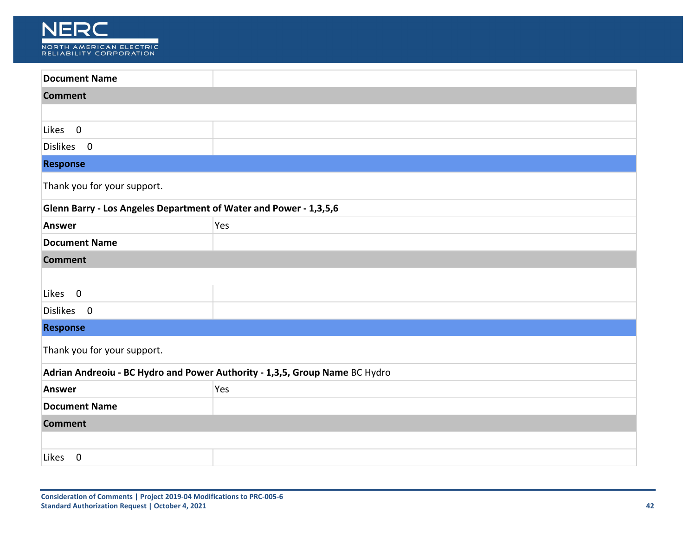

| <b>Comment</b>                                                              |  |
|-----------------------------------------------------------------------------|--|
|                                                                             |  |
|                                                                             |  |
|                                                                             |  |
|                                                                             |  |
| Thank you for your support.                                                 |  |
| Glenn Barry - Los Angeles Department of Water and Power - 1,3,5,6           |  |
| Yes                                                                         |  |
|                                                                             |  |
|                                                                             |  |
|                                                                             |  |
|                                                                             |  |
|                                                                             |  |
|                                                                             |  |
| Thank you for your support.                                                 |  |
| Adrian Andreoiu - BC Hydro and Power Authority - 1,3,5, Group Name BC Hydro |  |
| Yes                                                                         |  |
|                                                                             |  |
| <b>Comment</b>                                                              |  |
|                                                                             |  |
|                                                                             |  |
|                                                                             |  |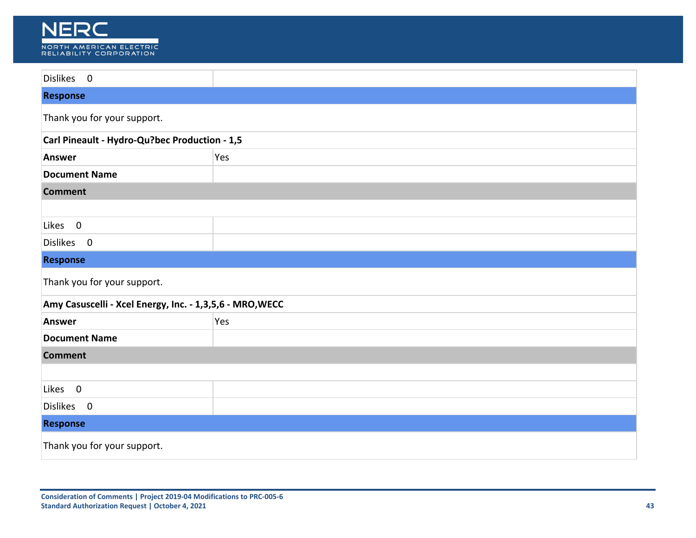

| Dislikes 0                                               |     |
|----------------------------------------------------------|-----|
| <b>Response</b>                                          |     |
| Thank you for your support.                              |     |
| Carl Pineault - Hydro-Qu?bec Production - 1,5            |     |
| <b>Answer</b>                                            | Yes |
| <b>Document Name</b>                                     |     |
| <b>Comment</b>                                           |     |
|                                                          |     |
| Likes 0                                                  |     |
| Dislikes 0                                               |     |
| <b>Response</b>                                          |     |
| Thank you for your support.                              |     |
| Amy Casuscelli - Xcel Energy, Inc. - 1,3,5,6 - MRO, WECC |     |
| <b>Answer</b>                                            | Yes |
| <b>Document Name</b>                                     |     |
| <b>Comment</b>                                           |     |
|                                                          |     |
| Likes 0                                                  |     |
| Dislikes 0                                               |     |
| <b>Response</b>                                          |     |
| Thank you for your support.                              |     |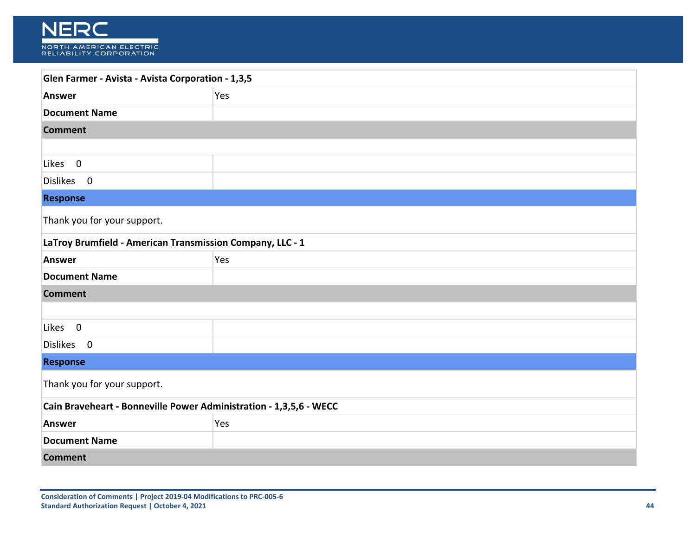

| Glen Farmer - Avista - Avista Corporation - 1,3,5                  |     |
|--------------------------------------------------------------------|-----|
| <b>Answer</b>                                                      | Yes |
| <b>Document Name</b>                                               |     |
| <b>Comment</b>                                                     |     |
|                                                                    |     |
| Likes 0                                                            |     |
| Dislikes 0                                                         |     |
| <b>Response</b>                                                    |     |
| Thank you for your support.                                        |     |
| LaTroy Brumfield - American Transmission Company, LLC - 1          |     |
| Answer                                                             | Yes |
| <b>Document Name</b>                                               |     |
| <b>Comment</b>                                                     |     |
|                                                                    |     |
| $\overline{\mathbf{0}}$<br>Likes                                   |     |
| Dislikes 0                                                         |     |
| <b>Response</b>                                                    |     |
| Thank you for your support.                                        |     |
| Cain Braveheart - Bonneville Power Administration - 1,3,5,6 - WECC |     |
| <b>Answer</b>                                                      | Yes |
| <b>Document Name</b>                                               |     |
| <b>Comment</b>                                                     |     |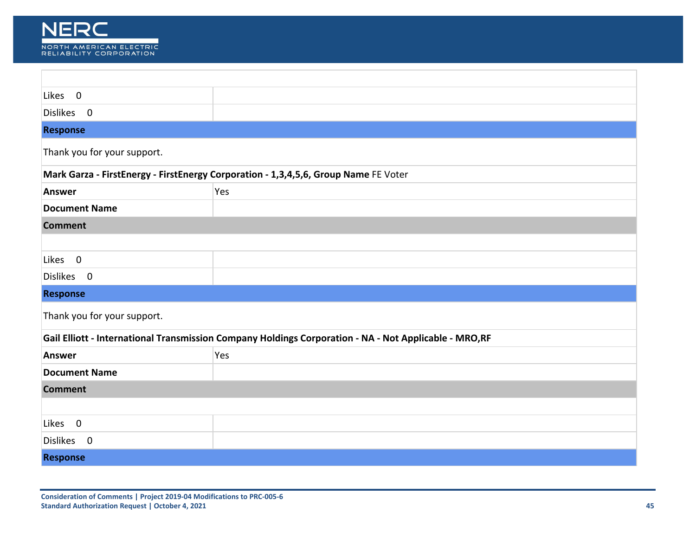

| $\overline{\phantom{0}}$<br>Likes                                                                     |                                                                                     |  |
|-------------------------------------------------------------------------------------------------------|-------------------------------------------------------------------------------------|--|
| Dislikes 0                                                                                            |                                                                                     |  |
| <b>Response</b>                                                                                       |                                                                                     |  |
| Thank you for your support.                                                                           |                                                                                     |  |
|                                                                                                       | Mark Garza - FirstEnergy - FirstEnergy Corporation - 1,3,4,5,6, Group Name FE Voter |  |
| Answer                                                                                                | Yes                                                                                 |  |
| <b>Document Name</b>                                                                                  |                                                                                     |  |
| <b>Comment</b>                                                                                        |                                                                                     |  |
|                                                                                                       |                                                                                     |  |
| Likes 0                                                                                               |                                                                                     |  |
| Dislikes 0                                                                                            |                                                                                     |  |
| <b>Response</b>                                                                                       |                                                                                     |  |
| Thank you for your support.                                                                           |                                                                                     |  |
| Gail Elliott - International Transmission Company Holdings Corporation - NA - Not Applicable - MRO,RF |                                                                                     |  |
| <b>Answer</b>                                                                                         | Yes                                                                                 |  |
| <b>Document Name</b>                                                                                  |                                                                                     |  |
| <b>Comment</b>                                                                                        |                                                                                     |  |
|                                                                                                       |                                                                                     |  |
| $\overline{\mathbf{0}}$<br>Likes                                                                      |                                                                                     |  |
| Dislikes 0                                                                                            |                                                                                     |  |
| <b>Response</b>                                                                                       |                                                                                     |  |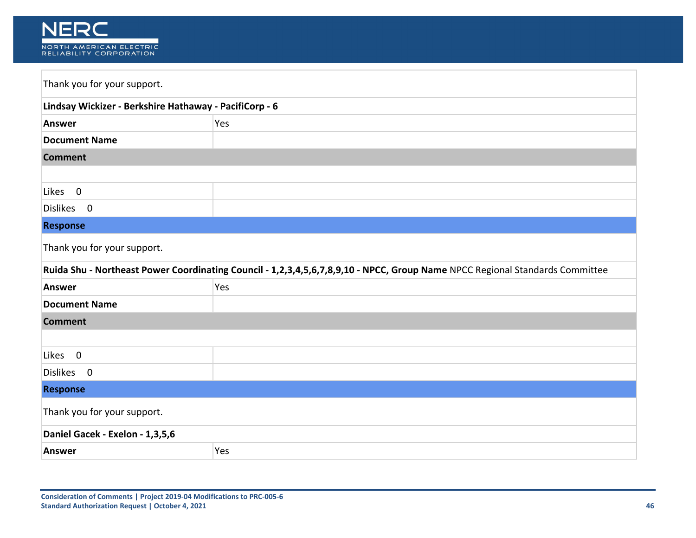

| Thank you for your support.                                                                                                  |     |
|------------------------------------------------------------------------------------------------------------------------------|-----|
| Lindsay Wickizer - Berkshire Hathaway - PacifiCorp - 6                                                                       |     |
| <b>Answer</b>                                                                                                                | Yes |
| <b>Document Name</b>                                                                                                         |     |
| <b>Comment</b>                                                                                                               |     |
|                                                                                                                              |     |
| Likes 0                                                                                                                      |     |
| Dislikes 0                                                                                                                   |     |
| <b>Response</b>                                                                                                              |     |
| Thank you for your support.                                                                                                  |     |
| Ruida Shu - Northeast Power Coordinating Council - 1,2,3,4,5,6,7,8,9,10 - NPCC, Group Name NPCC Regional Standards Committee |     |
| <b>Answer</b>                                                                                                                | Yes |
| <b>Document Name</b>                                                                                                         |     |
| <b>Comment</b>                                                                                                               |     |
|                                                                                                                              |     |
| Likes 0                                                                                                                      |     |
| Dislikes 0                                                                                                                   |     |
| <b>Response</b>                                                                                                              |     |
| Thank you for your support.                                                                                                  |     |
| Daniel Gacek - Exelon - 1,3,5,6                                                                                              |     |
| <b>Answer</b>                                                                                                                | Yes |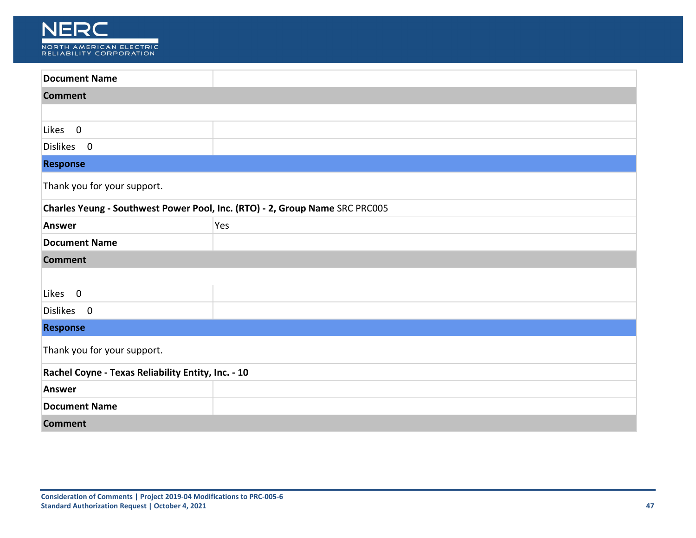

| <b>Document Name</b>                                                        |     |
|-----------------------------------------------------------------------------|-----|
| <b>Comment</b>                                                              |     |
|                                                                             |     |
| Likes 0                                                                     |     |
| Dislikes 0                                                                  |     |
| <b>Response</b>                                                             |     |
| Thank you for your support.                                                 |     |
| Charles Yeung - Southwest Power Pool, Inc. (RTO) - 2, Group Name SRC PRC005 |     |
| Answer                                                                      | Yes |
| <b>Document Name</b>                                                        |     |
| <b>Comment</b>                                                              |     |
|                                                                             |     |
| Likes 0                                                                     |     |
| Dislikes 0                                                                  |     |
| <b>Response</b>                                                             |     |
| Thank you for your support.                                                 |     |
| Rachel Coyne - Texas Reliability Entity, Inc. - 10                          |     |
| Answer                                                                      |     |
| <b>Document Name</b>                                                        |     |
| <b>Comment</b>                                                              |     |